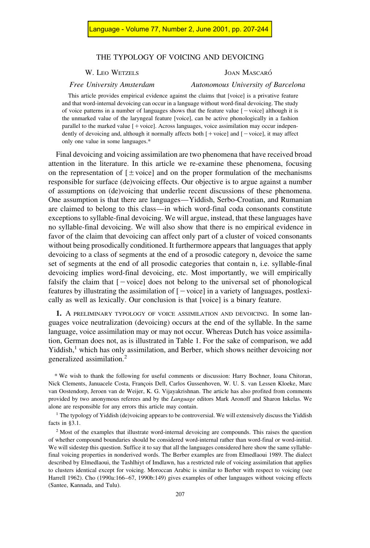# THE TYPOLOGY OF VOICING AND DEVOICING

### W. Leo Wetzels Joan Mascaró

## *Free University Amsterdam Autonomous University of Barcelona*

This article provides empirical evidence against the claims that [voice] is a privative feature and that word-internal devoicing can occur in a language without word-final devoicing. The study of voice patterns in a number of languages shows that the feature value  $[-\text{voice}]$  although it is the unmarked value of the laryngeal feature [voice], can be active phonologically in a fashion parallel to the marked value [+voice]. Across languages, voice assimilation may occur independently of devoicing and, although it normally affects both  $[+$  voice] and  $[-$  voice], it may affect only one value in some languages.\*

Final devoicing and voicing assimilation are two phenomena that have received broad attention in the literature. In this article we re-examine these phenomena, focusing on the representation of  $\lceil \pm \text{voice} \rceil$  and on the proper formulation of the mechanisms responsible for surface (de)voicing effects. Our objective is to argue against a number of assumptions on (de)voicing that underlie recent discussions of these phenomena. One assumption is that there are languages—Yiddish, Serbo-Croatian, and Rumanian are claimed to belong to this class—in which word-final coda consonants constitute exceptions to syllable-final devoicing. We will argue, instead, that these languages have no syllable-final devoicing. We will also show that there is no empirical evidence in favor of the claim that devoicing can affect only part of a cluster of voiced consonants without being prosodically conditioned. It furthermore appears that languages that apply devoicing to a class of segments at the end of a prosodic category n, devoice the same set of segments at the end of all prosodic categories that contain n, i.e. syllable-final devoicing implies word-final devoicing, etc. Most importantly, we will empirically falsify the claim that  $[-\text{voice}]$  does not belong to the universal set of phonological features by illustrating the assimilation of  $[-\text{voice}]$  in a variety of languages, postlexically as well as lexically. Our conclusion is that [voice] is a binary feature.

**1.** A PRELIMINARY TYPOLOGY OF VOICE ASSIMILATION AND DEVOICING. In somelanguages voice neutralization (devoicing) occurs at the end of the syllable. In the same language, voice assimilation may or may not occur. Whereas Dutch has voice assimilation, German does not, as is illustrated in Table 1. For the sake of comparison, we add Yiddish,<sup>1</sup> which has only assimilation, and Berber, which shows neither devoicing nor generalized assimilation.<sup>2</sup>

\* We wish to thank the following for useful comments or discussion: Harry Bochner, Ioana Chitoran, Nick Clements, Januacele Costa, François Dell, Carlos Gussenhoven, W. U. S. van Lessen Kloeke, Marc van Oostendorp, Jeroen van de Weijer, K. G. Vijayakrishnan. The article has also profited from comments provided by two anonymous referees and by the *Language* editors Mark Aronoff and Sharon Inkelas. We alone are responsible for any errors this article may contain.

 $<sup>1</sup>$  The typology of Yiddish (de)voicing appears to be controversial. We will extensively discuss the Yiddish</sup> facts in §3.1.

<sup>2</sup> Most of the examples that illustrate word-internal devoicing are compounds. This raises the question of whether compound boundaries should be considered word-internal rather than word-final or word-initial. We will sidestep this question. Suffice it to say that all the languages considered here show the same syllablefinal voicing properties in nonderived words. The Berber examples are from Elmedlaoui 1989. The dialect described by Elmedlaoui, the Tashlhiyt of Imdlawn, has a restricted rule of voicing assimilation that applies to clusters identical except for voicing. Moroccan Arabic is similar to Berber with respect to voicing (see Harrell 1962). Cho (1990a:166–67, 1990b:149) gives examples of other languages without voicing effects (Santee, Kannada, and Tulu).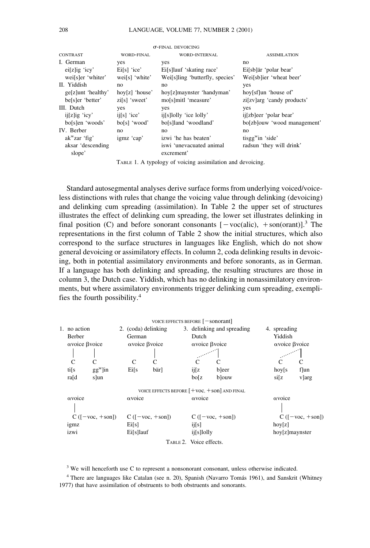| <b>CONTRAST</b>        | <b>WORD-FINAL</b>   | <b>WORD-INTERNAL</b>            | <b>ASSIMILATION</b>          |
|------------------------|---------------------|---------------------------------|------------------------------|
| I. German              | yes                 | yes                             | no                           |
| $ei[z]$ ig 'icy'       | Eif[s] 'ice'        | Ei[s]lauf 'skating race'        | Ei[sb]är 'polar bear'        |
| wei[s]er 'whiter'      | wei[s] 'white'      | Wei[s]ling 'butterfly, species' | Weilsblier 'wheat beer'      |
| II. Yiddish            | no                  | no                              | yes                          |
| ge[z]unt 'healthy'     | hoy[z] 'house'      | hoy[z]maynster 'handyman'       | hoy[sf]un 'house of'         |
| bester 'better'        | $zi[s]$ 'sweet'     | mo[s]mitl 'measure'             | zi[zv]arg 'candy products'   |
| III. Dutch             | yes                 | yes                             | yes                          |
| ij[z]ig 'icy'          | i[ <b>s</b> ] 'ice' | ijslolly 'ice lolly'            | ij[zb]eer 'polar bear'       |
| bo[s]en 'woods'        | bo[s] 'wood'        | bo[s]land 'woodland'            | bo[zb]ouw 'wood management'  |
| IV. Berber             | no                  | no                              | no                           |
| $ak^{\rm w}$ zar 'fig' | igmz 'cap'          | izwi 'he has beaten'            | tisgg <sup>w</sup> in 'side' |
| aksar 'descending      |                     | iswi 'unevacuated animal        | radsun 'they will drink'     |
| slope'                 |                     | excrement'                      |                              |
|                        |                     |                                 |                              |

-FINAL DEVOICING

TABLE 1. A typology of voicing assimilation and devoicing.

Standard autosegmental analyses derive surface forms from underlying voiced/voiceless distinctions with rules that change the voicing value through delinking (devoicing) and delinking cum spreading (assimilation). In Table 2 the upper set of structures illustrates the effect of delinking cum spreading, the lower set illustrates delinking in final position (C) and before sonorant consonants  $[-\text{voc(alic)}, +\text{son}(\text{orant})]$ .<sup>3</sup> The representations in the first column of Table 2 show the initial structures, which also correspond to the surface structures in languages like English, which do not show general devoicing or assimilatory effects. In column 2, coda delinking results in devoicing, both in potential assimilatory environments and before sonorants, as in German. If a language has both delinking and spreading, the resulting structures are those in column 3, the Dutch case. Yiddish, which has no delinking in nonassimilatory environments, but where assimilatory environments trigger delinking cum spreading, exemplifies the fourth possibility.<sup>4</sup>

|                              |                                      |                     |                                      | VOICE EFFECTS BEFORE $[-$ sonorant |                                               |                              |                                                  |
|------------------------------|--------------------------------------|---------------------|--------------------------------------|------------------------------------|-----------------------------------------------|------------------------------|--------------------------------------------------|
| 1. no action                 |                                      | 2. (coda) delinking |                                      |                                    | 3. delinking and spreading                    | 4. spreading                 |                                                  |
| Berber                       |                                      | German              |                                      | Dutch                              |                                               | Yiddish                      |                                                  |
| $\alpha$ voice $\beta$ voice |                                      |                     | $\alpha$ voice $\beta$ voice         | $\alpha$ voice $\beta$ voice       |                                               | $\alpha$ voice $\beta$ voice |                                                  |
|                              |                                      |                     |                                      |                                    |                                               |                              |                                                  |
| C                            |                                      | $\mathcal{C}$       |                                      |                                    |                                               |                              | C                                                |
| ti[s                         | $gg^{\rm w}$ ]in                     | Ei[s]               | bär]                                 | ij[z                               | bleer                                         | hoy[s]                       | f   un                                           |
| ra[d                         | s]un                                 |                     |                                      | boz                                | blouw                                         | si[z                         | v]arg                                            |
|                              |                                      |                     |                                      |                                    | VOICE EFFECTS BEFORE $[+voc, +son]$ AND FINAL |                              |                                                  |
| $\alpha$ voice               |                                      | $\alpha$ voice      |                                      | $\alpha$ voice                     |                                               | $\alpha$ voice               |                                                  |
|                              |                                      |                     |                                      |                                    |                                               |                              |                                                  |
|                              | $C$ ( $[-\text{voc}, +\text{son}]$ ) |                     | $C$ ( $[-\text{voc}, +\text{son}]$ ) |                                    | $C$ ( $[-\text{voc}, +\text{son}]$ )          |                              | $C$ ( $\lceil -\text{voc}, +\text{son} \rceil$ ) |
| igmz                         |                                      | Ei[s]               |                                      | ij[s]                              |                                               | hoy[z]                       |                                                  |
| izwi                         |                                      | Ei[s]lauf           |                                      | ij[s]lolly                         |                                               | hoy[z]maynster               |                                                  |
|                              |                                      |                     |                                      | TABLE 2. Voice effects.            |                                               |                              |                                                  |

<sup>3</sup> We will henceforth use C to represent a nonsonorant consonant, unless otherwise indicated.

<sup>4</sup> There are languages like Catalan (see n. 20), Spanish (Navarro Tomás 1961), and Sanskrit (Whitney 1977) that have assimilation of obstruents to both obstruents and sonorants.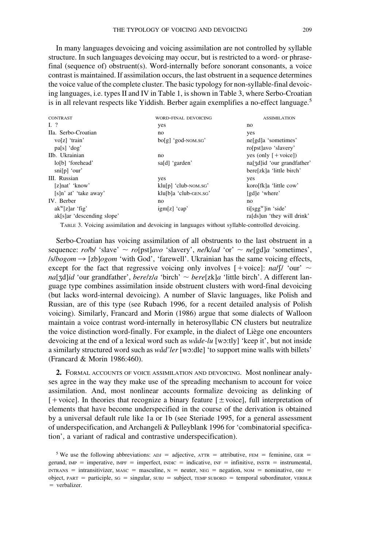In many languages devoicing and voicing assimilation are not controlled by syllable structure. In such languages devoicing may occur, but is restricted to a word- or phrasefinal (sequence of) obstruent(s). Word-internally before sonorant consonants, a voice contrast is maintained. If assimilation occurs, the last obstruent in a sequence determines the voice value of the complete cluster. The basic typology for non-syllable-final devoicing languages, i.e. types II and IV in Table 1, is shown in Table 3, where Serbo-Croatian is in all relevant respects like Yiddish. Berber again exemplifies a no-effect language.<sup>5</sup>

| <b>CONTRAST</b>            | WORD-FINAL DEVOICING       | <b>ASSIMILATION</b>        |
|----------------------------|----------------------------|----------------------------|
| $L$ ?                      | yes                        | no                         |
| Ha. Serbo-Croatian         | no                         | yes                        |
| vo[z] 'train'              | $bo[g]$ 'god-NOM.sG'       | ne[gd]a 'sometimes'        |
| pa[s] 'dog'                |                            | rospstlavo 'slavery'       |
| IIb. Ukrainian             | no                         | yes (only $[+$ voice])     |
| lo[b] 'forehead'           | sa[d] 'garden'             | na[3d]id 'our grandfather' |
| $snifp$ 'our'              |                            | bere[zk]a 'little birch'   |
| III. Russian               | yes                        | yes                        |
| [z]nat' 'know'             | $klu[p]$ 'club- $NOM.SG$ ' | koroffkla 'little cow'     |
| [s]n' at' 'take away'      | klu[b]a 'club-GEN.SG'      | [gd]e 'where'              |
| IV. Berber                 | no                         | no                         |
| $ak^w[z]$ ar 'fig'         | igm[z] 'cap'               | $ti[sggw]$ in 'side'       |
| ak[s]ar 'descending slope' |                            | ralds un 'they will drink' |

TABLE 3. Voicing assimilation and devoicing in languages without syllable-controlled devoicing.

Serbo-Croatian has voicing assimilation of all obstruents to the last obstruent in a sequence: *ro/b/* 'slave'  $\sim$  *ro*[pst]*avo* 'slavery', *ne/k/ad* 'or'  $\sim$  *ne*[gd]*a* 'sometimes',  $\lambda s/bogom \rightarrow [zb]ogom$  'with God', 'farewell'. Ukrainian has the same voicing effects, except for the fact that regressive voicing only involves  $[+$  voice]: *nal* $\int'$  'our' ~ *na*[Çd]*id* 'our grandfather', *bere*/z/*a* 'birch' *bere*[zk]*a* 'little birch'. A different language type combines assimilation inside obstruent clusters with word-final devoicing (but lacks word-internal devoicing). A number of Slavic languages, like Polish and Russian, are of this type (see Rubach 1996, for a recent detailed analysis of Polish voicing). Similarly, Francard and Morin (1986) argue that some dialects of Walloon maintain a voice contrast word-internally in heterosyllabic CN clusters but neutralize the voice distinction word-finally. For example, in the dialect of Liège one encounters devoicing at the end of a lexical word such as  $w\ddot{\theta}de-lu$  [wo:tly] 'keep it', but not inside a similarly structured word such as  $w\ddot{a}d'ler$  [wo:dle] 'to support mine walls with billets' (Francard & Morin 1986:460).

**2.** FORMAL ACCOUNTS OF VOICE ASSIMILATION AND DEVOICING. Most nonlinear analyses agree in the way they make use of the spreading mechanism to account for voice assimilation. And, most nonlinear accounts formalize devoicing as delinking of  $[+$  voice]. In theories that recognize a binary feature  $[\pm$  voice], full interpretation of elements that have become underspecified in the course of the derivation is obtained by a universal default rule like 1a or 1b (see Steriade 1995, for a general assessment of underspecification, and Archangeli & Pulleyblank 1996 for 'combinatorial specification', a variant of radical and contrastive underspecification).

<sup>&</sup>lt;sup>5</sup> We use the following abbreviations:  $ADJ =$  adjective,  $ATTR =$  attributive, FEM = feminine, GER = gerund,  $IMP =$  imperative,  $IMPF =$  imperfect,  $IMDC =$  indicative,  $INFF =$  infinitive,  $INSTR =$  instrumental, INTRANS = intransitivizer, MASC = masculine,  $N =$  neuter, NEG = negation, NOM = nominative, OBJ = object,  $PART = particle, \, SG = singular, \, SUBJ = subject, \, TEMPSUBORD = temporal subordinary, *VERBLR*$ = verbalizer.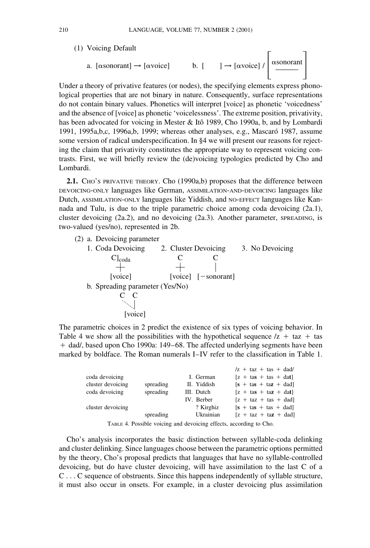(1) Voicing Default

a. [asonorant] 
$$
\rightarrow
$$
 [avoice] b. [ ]  $\rightarrow$  [avoice] /  $\alpha$  sonorant

П

Under a theory of privative features (or nodes), the specifying elements express phonological properties that are not binary in nature. Consequently, surface representations do not contain binary values. Phonetics will interpret [voice] as phonetic 'voicedness' and the absence of [voice] as phonetic 'voicelessness'. The extreme position, privativity, has been advocated for voicing in Mester & Itô 1989, Cho 1990a, b, and by Lombardi 1991, 1995a,b,c, 1996a,b, 1999; whereas other analyses, e.g., Mascaró 1987, assume some version of radical underspecification. In §4 we will present our reasons for rejecting the claim that privativity constitutes the appropriate way to represent voicing contrasts. First, we will briefly review the (de)voicing typologies predicted by Cho and Lombardi.

**2.1.** CHO'S PRIVATIVE THEORY. Cho (1990a,b) proposes that the difference between DEVOICING-ONLY languages like German, ASSIMILATION-AND-DEVOICING languages like Dutch, ASSIMILATION-ONLY languages like Yiddish, and NO-EFFECT languages like Kannada and Tulu, is due to the triple parametric choice among coda devoicing (2a.1), cluster devoicing (2a.2), and no devoicing (2a.3). Another parameter, SPREADING, is two-valued (yes/no), represented in 2b.



The parametric choices in 2 predict the existence of six types of voicing behavior. In Table 4 we show all the possibilities with the hypothetical sequence  $/z + \text{taz} + \text{tas}$ - dad/, based upon Cho 1990a: 149–68. The affected underlying segments have been marked by boldface. The Roman numerals I–IV refer to the classification in Table 1.

|                   |           |             | $/z + \text{taz} + \text{tas} + \text{dad}/z$ |
|-------------------|-----------|-------------|-----------------------------------------------|
| coda devoicing    |           | I. German   | $[z + \text{tas} + \text{tas} + \text{ dat}]$ |
| cluster devoicing | spreading | II. Yiddish | $[s + \text{tas} + \text{ tax} + \text{dad}]$ |
| coda devoicing    | spreading | III. Dutch  | $[z + \text{tas} + \text{ tax} + \text{dat}]$ |
|                   |           | IV. Berber  | $[z + \text{tax} + \text{tas} + \text{dad}]$  |
| cluster devoicing |           | ? Kirghiz   | $[s + \text{tas} + \text{tas} + \text{ dad}]$ |
|                   | spreading | Ukrainian   | $[z + \text{tax} + \text{tax} + \text{dad}]$  |
|                   |           |             |                                               |

TABLE 4. Possible voicing and devoicing effects, according to Cho.

Cho's analysis incorporates the basic distinction between syllable-coda delinking and cluster delinking. Since languages choose between the parametric options permitted by the theory, Cho's proposal predicts that languages that have no syllable-controlled devoicing, but do have cluster devoicing, will have assimilation to the last C of a C . . . C sequence of obstruents. Since this happens independently of syllable structure, it must also occur in onsets. For example, in a cluster devoicing plus assimilation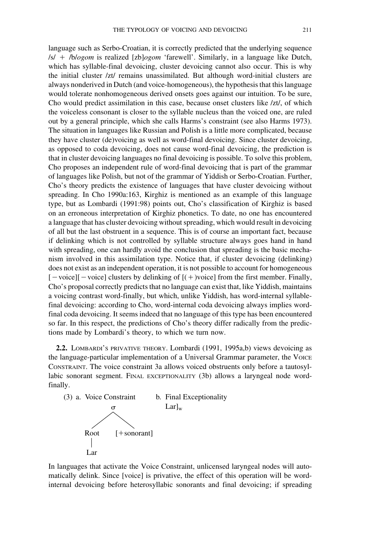language such as Serbo-Croatian, it is correctly predicted that the underlying sequence /s/ - /b/*ogom* is realized [zb]*ogom* 'farewell'. Similarly, in a language like Dutch, which has syllable-final devoicing, cluster devoicing cannot also occur. This is why the initial cluster /zt/ remains unassimilated. But although word-initial clusters are always nonderived in Dutch (and voice-homogeneous), the hypothesis that this language would tolerate nonhomogeneous derived onsets goes against our intuition. To be sure, Cho would predict assimilation in this case, because onset clusters like /zt/, of which the voiceless consonant is closer to the syllable nucleus than the voiced one, are ruled out by a general principle, which she calls Harms's constraint (see also Harms 1973). The situation in languages like Russian and Polish is a little more complicated, because they have cluster (de)voicing as well as word-final devoicing. Since cluster devoicing, as opposed to coda devoicing, does not cause word-final devoicing, the prediction is that in cluster devoicing languages no final devoicing is possible. To solve this problem, Cho proposes an independent rule of word-final devoicing that is part of the grammar of languages like Polish, but not of the grammar of Yiddish or Serbo-Croatian. Further, Cho's theory predicts the existence of languages that have cluster devoicing without spreading. In Cho 1990a:163, Kirghiz is mentioned as an example of this language type, but as Lombardi (1991:98) points out, Cho's classification of Kirghiz is based on an erroneous interpretation of Kirghiz phonetics. To date, no one has encountered a language that has cluster devoicing without spreading, which would result in devoicing of all but the last obstruent in a sequence. This is of course an important fact, because if delinking which is not controlled by syllable structure always goes hand in hand with spreading, one can hardly avoid the conclusion that spreading is the basic mechanism involved in this assimilation type. Notice that, if cluster devoicing (delinking) does not exist as an independent operation, it is not possible to account for homogeneous  $[-\text{voice}]]$  - voice] clusters by delinking of  $[(+)\text{voice}]$  from the first member. Finally, Cho's proposal correctly predicts that no language can exist that, like Yiddish, maintains a voicing contrast word-finally, but which, unlike Yiddish, has word-internal syllablefinal devoicing: according to Cho, word-internal coda devoicing always implies wordfinal coda devoicing. It seems indeed that no language of this type has been encountered so far. In this respect, the predictions of Cho's theory differ radically from the predictions made by Lombardi's theory, to which we turn now.

**2.2.** LOMBARDI'S PRIVATIVE THEORY. Lombardi (1991, 1995a,b) views devoicing as the language-particular implementation of a Universal Grammar parameter, the VOICE CONSTRAINT. The voice constraint 3a allows voiced obstruents only before a tautosyllabic sonorant segment. FINAL EXCEPTIONALITY (3b) allows a laryngeal node wordfinally.



In languages that activate the Voice Constraint, unlicensed laryngeal nodes will automatically delink. Since [voice] is privative, the effect of this operation will be wordinternal devoicing before heterosyllabic sonorants and final devoicing; if spreading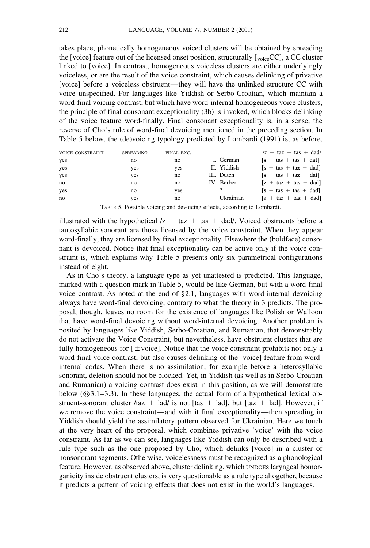takes place, phonetically homogeneous voiced clusters will be obtained by spreading the [voice] feature out of the licensed onset position, structurally  $[{}_{\text{voice}}CC]$ , a CC cluster linked to [voice]. In contrast, homogeneous voiceless clusters are either underlyingly voiceless, or are the result of the voice constraint, which causes delinking of privative [voice] before a voiceless obstruent—they will have the unlinked structure CC with voice unspecified. For languages like Yiddish or Serbo-Croatian, which maintain a word-final voicing contrast, but which have word-internal homogeneous voice clusters, the principle of final consonant exceptionality (3b) is invoked, which blocks delinking of the voice feature word-finally. Final consonant exceptionality is, in a sense, the reverse of Cho's rule of word-final devoicing mentioned in the preceding section. In Table 5 below, the (de)voicing typology predicted by Lombardi (1991) is, as before,

| <b>VOICE CONSTRAINT</b> | SPREADING | FINAL EXC. |             | $/z + \text{taz} + \text{tas} + \text{dad}$   |
|-------------------------|-----------|------------|-------------|-----------------------------------------------|
| yes                     | no        | no         | I. German   | $[s + \text{tas} + \text{tas} + \text{dat}]$  |
| yes                     | yes       | yes        | II. Yiddish | $[s + \text{tas} + \text{ tax} + \text{dad}]$ |
| yes                     | yes       | no         | III. Dutch  | $[s + \text{tas} + \text{ tax} + \text{dat}]$ |
| no                      | no        | no         | IV. Berber  | $[z + \text{tax} + \text{tas} + \text{dad}]$  |
| yes                     | no        | yes        |             | $[s + \text{tas} + \text{tas} + \text{ dad}]$ |
| no                      | yes       | no         | Ukrainian   | $[z + \text{tax} + \text{tax} + \text{dad}]$  |
|                         |           |            |             |                                               |

TABLE 5. Possible voicing and devoicing effects, according to Lombardi.

illustrated with the hypothetical  $/z + \text{taz} + \text{tas} + \text{dad}$ . Voiced obstruents before a tautosyllabic sonorant are those licensed by the voice constraint. When they appear word-finally, they are licensed by final exceptionality. Elsewhere the (boldface) consonant is devoiced. Notice that final exceptionality can be active only if the voice constraint is, which explains why Table 5 presents only six parametrical configurations instead of eight.

As in Cho's theory, a language type as yet unattested is predicted. This language, marked with a question mark in Table 5, would be like German, but with a word-final voice contrast. As noted at the end of §2.1, languages with word-internal devoicing always have word-final devoicing, contrary to what the theory in 3 predicts. The proposal, though, leaves no room for the existence of languages like Polish or Walloon that have word-final devoicing without word-internal devoicing. Another problem is posited by languages like Yiddish, Serbo-Croatian, and Rumanian, that demonstrably do not activate the Voice Constraint, but nevertheless, have obstruent clusters that are fully homogeneous for  $[\pm \text{voice}]$ . Notice that the voice constraint prohibits not only a word-final voice contrast, but also causes delinking of the [voice] feature from wordinternal codas. When there is no assimilation, for example before a heterosyllabic sonorant, deletion should not be blocked. Yet, in Yiddish (as well as in Serbo-Croatian and Rumanian) a voicing contrast does exist in this position, as we will demonstrate below (§§3.1–3.3). In these languages, the actual form of a hypothetical lexical obstruent-sonorant cluster /taz + lad/ is not [tas + lad], but [taz + lad]. However, if we remove the voice constraint—and with it final exceptionality—then spreading in Yiddish should yield the assimilatory pattern observed for Ukrainian. Here we touch at the very heart of the proposal, which combines privative 'voice' with the voice constraint. As far as we can see, languages like Yiddish can only be described with a rule type such as the one proposed by Cho, which delinks [voice] in a cluster of nonsonorant segments. Otherwise, voicelessness must be recognized as a phonological feature. However, as observed above, cluster delinking, which UNDOES laryngeal homorganicity inside obstruent clusters, is very questionable as a rule type altogether, because it predicts a pattern of voicing effects that does not exist in the world's languages.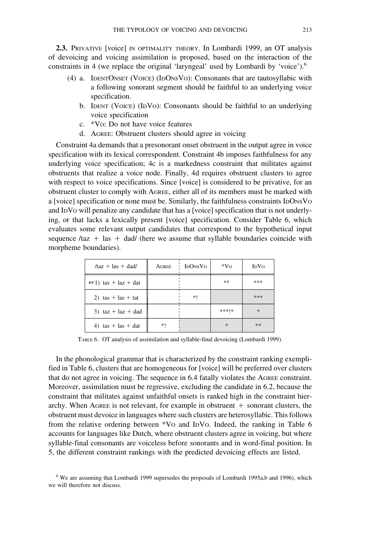**2.3.** PRIVATIVE [voice] IN OPTIMALITY THEORY. In Lombardi 1999, an OT analysis of devoicing and voicing assimilation is proposed, based on the interaction of the constraints in 4 (we replace the original 'laryngeal' used by Lombardi by 'voice').<sup>6</sup>

- (4) a. IDENTONSET (VOICE) (IDONSVO): Consonants that aretautosyllabic with a following sonorant segment should be faithful to an underlying voice specification.
	- b. IDENT (VOICE) (IDVO): Consonants should be faithful to an underlying voice specification
	- c. \*Vo: Do not have voice features
	- d. AGREE: Obstruent clusters should agree in voicing

Constraint 4a demands that a presonorant onset obstruent in the output agree in voice specification with its lexical correspondent. Constraint 4b imposes faithfulness for any underlying voice specification; 4c is a markedness constraint that militates against obstruents that realize a voice node. Finally, 4d requires obstruent clusters to agree with respect to voice specifications. Since [voice] is considered to be privative, for an obstruent cluster to comply with AGREE, either all of its members must be marked with a [voice] specification or none must be. Similarly, the faithfulness constraints IDONSVo and IDVO will penalize any candidate that has a [voice] specification that is not underlying, or that lacks a lexically present [voice] specification. Consider Table 6, which evaluates some relevant output candidates that correspond to the hypothetical input sequence /taz + las + dad/ (here we assume that syllable boundaries coincide with morpheme boundaries).

| $\pi$ /taz + las + dad/      | AGREE | <b>IDONSVO</b> | $*V_0$ | I <sub>D</sub> V <sub>O</sub> |
|------------------------------|-------|----------------|--------|-------------------------------|
| $\sqrt{3}$ as + laz + dat    |       |                | **     | ***                           |
| 2) $\tan x + \ln x + \tan x$ |       | *1             |        | ***                           |
| 3) $tax + laz + dad$         |       |                | ***!*  | $\star$                       |
| 4) $\tan x + \ln x + \ln x$  | *1    |                | $*$    | **                            |

TABLE 6. OT analysis of assimilation and syllable-final devoicing (Lombardi 1999).

In the phonological grammar that is characterized by the constraint ranking exemplified in Table 6, clusters that are homogeneous for [voice] will be preferred over clusters that do not agree in voicing. The sequence in 6.4 fatally violates the AGREE constraint. Moreover, assimilation must be regressive, excluding the candidate in 6.2, because the constraint that militates against unfaithful onsets is ranked high in the constraint hierarchy. When AGREE is not relevant, for example in obstruent  $+$  sonorant clusters, the obstruent must devoice in languages where such clusters are heterosyllabic. This follows from the relative ordering between \*VO and IDVO. Indeed, the ranking in Table 6 accounts for languages like Dutch, where obstruent clusters agree in voicing, but where syllable-final consonants are voiceless before sonorants and in word-final position. In 5, the different constraint rankings with the predicted devoicing effects are listed.

<sup>&</sup>lt;sup>6</sup> We are assuming that Lombardi 1999 supersedes the proposals of Lombardi 1995a,b and 1996), which we will therefore not discuss.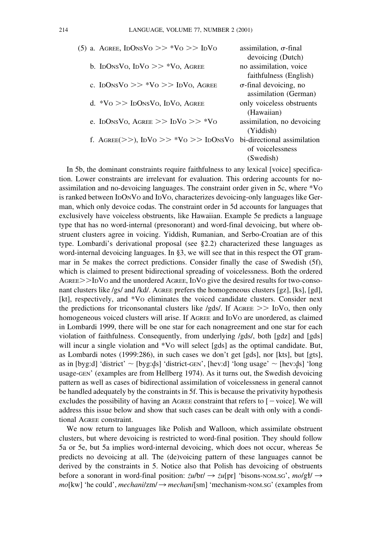| (5) a. AGREE, IDONSVO $>>$ *Vo $>>$ IDVO     | assimilation, $\sigma$ -final |
|----------------------------------------------|-------------------------------|
|                                              | devoicing (Dutch)             |
| b. IDONSVO, IDVO $>>$ *VO, AGREE             | no assimilation, voice        |
|                                              | faithfulness (English)        |
| c. IDONSVO >> $\text{*V}_0$ >> IDVO, AGREE   | $\sigma$ -final devoicing, no |
|                                              | assimilation (German)         |
| d. *Vo $\gg$ IdOnsVo, IdVo, Agree            | only voiceless obstruents     |
|                                              | (Hawaiian)                    |
| e. IDONSVO, AGREE $>>$ IDVO $>>$ *VO         | assimilation, no devoicing    |
|                                              | (Yiddish)                     |
| f. Agree( $>>$ ), IdVo $>>$ *Vo $>>$ IdOnsVo | bi-directional assimilation   |
|                                              | of voicelessness              |
|                                              | (Swedish)                     |
|                                              |                               |

In 5b, the dominant constraints require faithfulness to any lexical [voice] specification. Lower constraints are irrelevant for evaluation. This ordering accounts for noassimilation and no-devoicing languages. The constraint order given in 5c, where \*VO is ranked between IDONVO and IDVO, characterizes devoicing-only languages like German, which only devoice codas. The constraint order in 5d accounts for languages that exclusively have voiceless obstruents, like Hawaiian. Example 5e predicts a language type that has no word-internal (presonorant) and word-final devoicing, but where obstruent clusters agree in voicing. Yiddish, Rumanian, and Serbo-Croatian are of this type. Lombardi's derivational proposal (see §2.2) characterized these languages as word-internal devoicing languages. In §3, we will see that in this respect the OT grammar in 5e makes the correct predictions. Consider finally the case of Swedish (5f), which is claimed to present bidirectional spreading of voicelessness. Both the ordered AGREE>>IDVo and the unordered AGREE, IDVo give the desired results for two-consonant clusters like /gs/ and /kd/. AGREE prefers the homogeneous clusters [gz], [ks], [gd], [kt], respectively, and \*Vo eliminates the voiced candidate clusters. Consider next the predictions for triconsonantal clusters like /gds/. If  $A_{GREE} >> IDV_{O}$ , then only homogeneous voiced clusters will arise. If AGREE and IDVO are unordered, as claimed in Lombardi 1999, there will be one star for each nonagreement and one star for each violation of faithfulness. Consequently, from underlying /gds/, both [gdz] and [gds] will incur a single violation and \*Vo will select [gds] as the optimal candidate. But, as Lombardi notes (1999:286), in such cases we don't get [gds], nor [kts], but [gts], as in [byg:d] 'district'  $\sim$  [byg:ds] 'district-GEN', [hev:d] 'long usage'  $\sim$  [hev:d̥s] 'long usage-GEN' (examples are from Hellberg 1974). As it turns out, the Swedish devoicing pattern as well as cases of bidirectional assimilation of voicelessness in general cannot be handled adequately by the constraints in 5f. This is because the privativity hypothesis excludes the possibility of having an AGREE constraint that refers to  $[-\text{voice}]$ . We will address this issue below and show that such cases can be dealt with only with a conditional AGREE constraint.

We now return to languages like Polish and Walloon, which assimilate obstruent clusters, but where devoicing is restricted to word-final position. They should follow 5a or 5e, but 5a implies word-internal devoicing, which does not occur, whereas 5e predicts no devoicing at all. The (de)voicing pattern of these languages cannot be derived by the constraints in 5. Notice also that Polish has devoicing of obstruents before a sonorant in word-final position:  $\dot{z}u/br/\rightarrow \dot{z}u[pr]$  'bisons-NOM.SG',  $molg\ddot{\uparrow}/\rightarrow$ *mo*[kw] 'he could', *mechani/zm/ → mechani*[sm] 'mechanism-NOM.sG' (examples from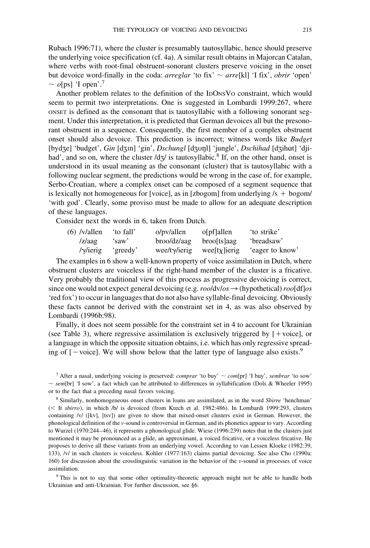Rubach 1996:71), where the cluster is presumably tautosyllabic, hence should preserve the underlying voice specification (cf. 4a). A similar result obtains in Majorcan Catalan, where verbs with root-final obstruent-sonorant clusters preserve voicing in the onset but devoice word-finally in the coda: *arreglar* 'to fix'  $\sim$  *arre*[kl] 'I fix', *obrir* 'open'  $\sim$   $o$ [ps] 'I open'.<sup>7</sup>

Another problem relates to the definition of the IDONSVo constraint, which would seem to permit two interpretations. One is suggested in Lombardi 1999:267, where ONSET is defined as the consonant that is tautosyllabic with a following sonorant segment. Under this interpretation, it is predicted that German devoices all but the presonorant obstruent in a sequence. Consequently, the first member of a complex obstruent onset should also devoice. This prediction is incorrect; witness words like *Budget* [bydze] 'budget', *Gin* [dzin] 'gin', *Dschungl* [dzunl] 'jungle', *Dschihad* [dzihat] 'djihad', and so on, where the cluster  $\frac{dz}{dz}$  is tautosyllabic.<sup>8</sup> If, on the other hand, onset is understood in its usual meaning as the consonant (cluster) that is tautosyllabic with a following nuclear segment, the predictions would be wrong in the case of, for example, Serbo-Croatian, where a complex onset can be composed of a segment sequence that is lexically not homogeneous for [voice], as in [zbogom] from underlying  $/s +$  bogom/ 'with god'. Clearly, some proviso must be made to allow for an adequate description of these languages.

Consider next the words in 6, taken from Dutch.

| $(6)$ /v/allen   | 'to fall' | o/pv/allen   | o[pf]allen              | 'to strike'     |
|------------------|-----------|--------------|-------------------------|-----------------|
| /z/aag           | `saw'     | broo/dz/aag  | broo[ts]aag             | 'breadsaw'      |
| $/\gamma$ /ierig | 'greedy'  | wee/tv/ierig | $wee$ [t $\chi$ ] ierig | 'eager to know' |

The examples in 6 show a well-known property of voice assimilation in Dutch, where obstruent clusters are voiceless if the right-hand member of the cluster is a fricative. Very probably the traditional view of this process as progressive devoicing is correct, since one would not expect general devoicing (e.g.  $\text{ro}/\text{d}v/\text{os} \rightarrow$  (hypothetical)  $\text{ro}/\text{d}f/\text{os}$ 'red fox') to occur in languages that do not also have syllable-final devoicing. Obviously these facts cannot be derived with the constraint set in 4, as was also observed by Lombardi (1996b:98).

Finally, it does not seem possible for the constraint set in 4 to account for Ukrainian (see Table 3), where regressive assimilation is exclusively triggered by  $[+$  voice], or a language in which the opposite situation obtains, i.e. which has only regressive spreading of  $[-\text{voice}]$ . We will show below that the latter type of language also exists.<sup>9</sup>

<sup>7</sup> After a nasal, underlying voicing is preserved: *comprar* 'to buy'  $\sim$  *com*[pr] 'I buy', *sembrar* 'to sow' *sem*[br] 'I sow', a fact which can be attributed to differences in syllabification (Dols & Wheeler 1995) or to the fact that a preceding nasal favors voicing.

<sup>8</sup> Similarly, nonhomogeneous onset clusters in loans are assimilated, as in the word *Sbirre* 'henchman' ( It *sbirro*), in which /b/ is devoiced (from Krech et al. 1982:486). In Lombardi 1999:293, clusters containing /v/ ([kv], [tsv]) are given to show that mixed-onset clusters exist in German. However, the phonological definition of the *v*-sound is controversial in German, and its phonetics appear to vary. According to Wurzel (1970:244–46), it represents a phonological glide. Wiese (1996:239) notes that in the clusters just mentioned it may be pronounced as a glide, an approximant, a voiced fricative, or a voiceless fricative. He proposes to derive all these variants from an underlying vowel. According to van Lessen Kloeke (1982:39, 133), /v/ in such clusters is voiceless. Kohler (1977:163) claims partial devoicing. See also Cho (1990a: 160) for discussion about thecrosslinguistic variation in thebehavior of the *v*-sound in processes of voice assimilation.

<sup>9</sup> This is not to say that some other optimality-theoretic approach might not be able to handle both Ukrainian and anti-Ukrainian. For further discussion, see §6.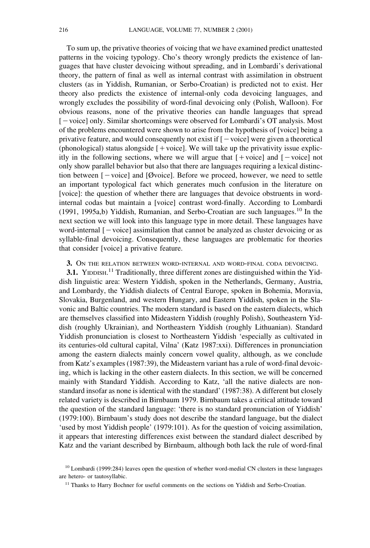To sum up, the privative theories of voicing that we have examined predict unattested patterns in the voicing typology. Cho's theory wrongly predicts the existence of languages that have cluster devoicing without spreading, and in Lombardi's derivational theory, the pattern of final as well as internal contrast with assimilation in obstruent clusters (as in Yiddish, Rumanian, or Serbo-Croatian) is predicted not to exist. Her theory also predicts the existence of internal-only coda devoicing languages, and wrongly excludes the possibility of word-final devoicing only (Polish, Walloon). For obvious reasons, none of the privative theories can handle languages that spread [-voice] only. Similar shortcomings were observed for Lombardi's OT analysis. Most of the problems encountered were shown to arise from the hypothesis of [voice] being a privative feature, and would consequently not exist if  $[-\text{voice}]$  were given a theoretical (phonological) status alongside  $[+$  voice]. We will take up the privativity issue explicitly in the following sections, where we will argue that  $[ + \text{voice} ]$  and  $[ - \text{voice} ]$  not only show parallel behavior but also that there are languages requiring a lexical distinction between  $[-\text{voice}]$  and  $[Ø\text{voice}]$ . Before we proceed, however, we need to settle an important typological fact which generates much confusion in the literature on [voice]: the question of whether there are languages that devoice obstruents in wordinternal codas but maintain a [voice] contrast word-finally. According to Lombardi (1991, 1995a,b) Yiddish, Rumanian, and Serbo-Croatian are such languages.<sup>10</sup> In the next section we will look into this language type in more detail. These languages have word-internal  $[-\text{voice}]$  assimilation that cannot be analyzed as cluster devoicing or as syllable-final devoicing. Consequently, these languages are problematic for theories that consider [voice] a privative feature.

## **3.** ON THE RELATION BETWEEN WORD-INTERNAL AND WORD-FINAL CODA DEVOICING.

3.1. YIDDISH.<sup>11</sup> Traditionally, three different zones are distinguished within the Yiddish linguistic area: Western Yiddish, spoken in the Netherlands, Germany, Austria, and Lombardy, the Yiddish dialects of Central Europe, spoken in Bohemia, Moravia, Slovakia, Burgenland, and western Hungary, and Eastern Yiddish, spoken in the Slavonic and Baltic countries. The modern standard is based on the eastern dialects, which are themselves classified into Mideastern Yiddish (roughly Polish), Southeastern Yiddish (roughly Ukrainian), and Northeastern Yiddish (roughly Lithuanian). Standard Yiddish pronunciation is closest to Northeastern Yiddish 'especially as cultivated in its centuries-old cultural capital, Vilna' (Katz 1987:xxi). Differences in pronunciation among the eastern dialects mainly concern vowel quality, although, as we conclude from Katz's examples (1987:39), the Mideastern variant has a rule of word-final devoicing, which is lacking in the other eastern dialects. In this section, we will be concerned mainly with Standard Yiddish. According to Katz, 'all the native dialects are nonstandard insofar as none is identical with the standard' (1987:38). A different but closely related variety is described in Birnbaum 1979. Birnbaum takes a critical attitude toward the question of the standard language: 'there is no standard pronunciation of Yiddish' (1979:100). Birnbaum's study does not describe the standard language, but the dialect 'used by most Yiddish people' (1979:101). As for the question of voicing assimilation, it appears that interesting differences exist between the standard dialect described by Katz and the variant described by Birnbaum, although both lack the rule of word-final

<sup>&</sup>lt;sup>10</sup> Lombardi (1999:284) leaves open the question of whether word-medial CN clusters in these languages are hetero- or tautosyllabic.

<sup>&</sup>lt;sup>11</sup> Thanks to Harry Bochner for useful comments on the sections on Yiddish and Serbo-Croatian.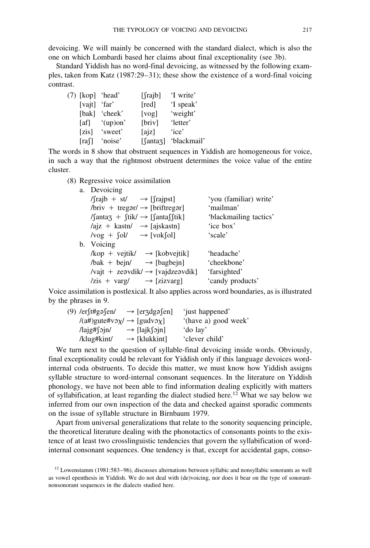devoicing. We will mainly be concerned with the standard dialect, which is also the one on which Lombardi based her claims about final exceptionality (see 3b).

Standard Yiddish has no word-final devoicing, as witnessed by the following examples, taken from Katz (1987:29–31); these show the existence of a word-final voicing contrast.

| (7) [kop]       | 'head'      | $[$ frajb]                 | 'I write'   |
|-----------------|-------------|----------------------------|-------------|
| [ <i>vait</i> ] | 'far'       | $\lceil \text{red} \rceil$ | 'I speak'   |
| [bak]           | 'cheek'     | [vg]                       | 'weight'    |
| [af]            | $'(up)$ on' | [briv]                     | 'letter'    |
| [zis]           | 'sweet'     | [aiz]                      | 'ice'       |
| [ra]            | 'noise'     | $\lfloor$ (antaz)          | 'blackmail' |

The words in 8 show that obstruent sequences in Yiddish are homogeneous for voice, in such a way that the rightmost obstruent determines the voice value of the entire cluster.

(8) Regressive voice assimilation

| a. | Devoicing                                                                                                                                            |                        |
|----|------------------------------------------------------------------------------------------------------------------------------------------------------|------------------------|
|    | $/[{rajb + st/} \rightarrow [{rajpst}]$                                                                                                              | 'you (familiar) write' |
|    | $\text{/briv} + \text{tregar} \rightarrow \text{[briftregar]}$                                                                                       | 'mailman'              |
|    | $\int \int \tan \alpha \sin \alpha$ $\int \int \int \sin \alpha \sin \alpha \sin \alpha$ $\int \int \sin \alpha \sin \alpha \sin \alpha \sin \alpha$ | 'blackmailing tactics' |
|    | $\text{Z}$ /ajz + kastn $\text{Z}$ $\rightarrow$ [ajskastn]                                                                                          | 'ice box'              |
|    | $/vog + \int o l / \rightarrow [vok\$ [v]                                                                                                            | 'scale'                |
|    | b. Voicing                                                                                                                                           |                        |
|    | $/$ kop + vejtik $/ \rightarrow$ [kobvejtik]                                                                                                         | 'headache'             |
|    | $\sqrt{bak} + \text{bein}/ \rightarrow \sqrt{[bagbein]}$                                                                                             | 'cheekbone'            |
|    | /vajt + zeovdik/ $\rightarrow$ [vajdzeovdik]                                                                                                         | 'farsighted'           |
|    | $\rightarrow$ [zizvarg]<br>$\ell$ zis + varg $\ell$                                                                                                  | 'candy products'       |

Voice assimilation is postlexical. It also applies across word boundaries, as is illustrated by the phrases in 9.

| $(9)$ /erst#gassen/                                                   | $\rightarrow$ [erzdgəsen]      | 'just happened'      |
|-----------------------------------------------------------------------|--------------------------------|----------------------|
| $/(a\#)$ gute#v $\partial \chi / \rightarrow$ [gudv $\partial \chi$ ] |                                | '(have a) good week' |
| $\text{Iajg#}\int \text{ojn/}$                                        | $\rightarrow$ [lajks] $\sin$ ] | 'do lay'             |
| /klug#kint/                                                           | $\rightarrow$ [klukkint]       | 'clever child'       |
|                                                                       |                                |                      |

We turn next to the question of syllable-final devoicing inside words. Obviously, final exceptionality could be relevant for Yiddish only if this language devoices wordinternal coda obstruents. To decide this matter, we must know how Yiddish assigns syllable structure to word-internal consonant sequences. In the literature on Yiddish phonology, we have not been able to find information dealing explicitly with matters of syllabification, at least regarding the dialect studied here.<sup>12</sup> What we say below we inferred from our own inspection of the data and checked against sporadic comments on the issue of syllable structure in Birnbaum 1979.

Apart from universal generalizations that relate to the sonority sequencing principle, the theoretical literature dealing with the phonotactics of consonants points to the existence of at least two crosslinguistic tendencies that govern the syllabification of wordinternal consonant sequences. One tendency is that, except for accidental gaps, conso-

 $12$  Lowenstamm (1981:583–96), discusses alternations between syllabic and nonsyllabic sonorants as well as vowel epenthesis in Yiddish. We do not deal with (de)voicing, nor does it bear on the type of sonorantnonsonorant sequences in the dialects studied here.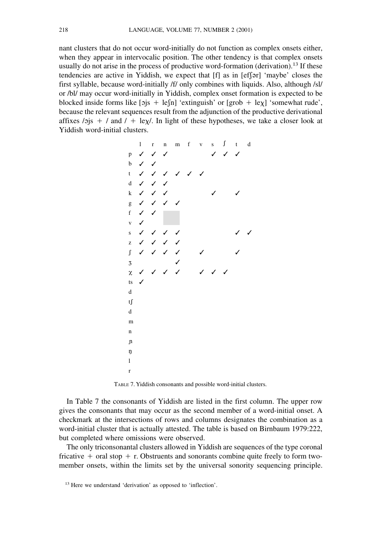nant clusters that do not occur word-initially do not function as complex onsets either, when they appear in intervocalic position. The other tendency is that complex onsets usually do not arise in the process of productive word-formation (derivation).<sup>13</sup> If these tendencies are active in Yiddish, we expect that  $[f]$  as in  $[eff]$ <sup>\*</sup> maybe' closes the first syllable, because word-initially /f/ only combines with liquids. Also, although /sl/ or /bl/ may occur word-initially in Yiddish, complex onset formation is expected to be blocked inside forms like [ $5js + lefn$ ] 'extinguish' or [grob + lex] 'somewhat rude', because the relevant sequences result from the adjunction of the productive derivational affixes / $\delta$ is + / and / + le $\chi$ /. In light of these hypotheses, we take a closer look at Yiddish word-initial clusters.



TABLE 7. Yiddish consonants and possible word-initial clusters.

In Table 7 the consonants of Yiddish are listed in the first column. The upper row gives the consonants that may occur as the second member of a word-initial onset. A checkmark at the intersections of rows and columns designates the combination as a word-initial cluster that is actually attested. The table is based on Birnbaum 1979:222, but completed where omissions were observed.

The only triconsonantal clusters allowed in Yiddish are sequences of the type coronal fricative  $+$  oral stop  $+$  r. Obstruents and sonorants combine quite freely to form twomember onsets, within the limits set by the universal sonority sequencing principle.

<sup>&</sup>lt;sup>13</sup> Here we understand 'derivation' as opposed to 'inflection'.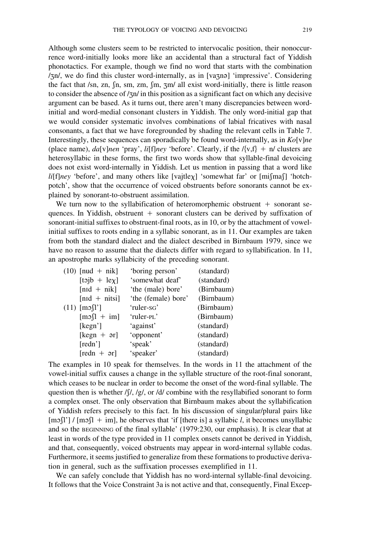Although some clusters seem to be restricted to intervocalic position, their nonoccurrence word-initially looks more like an accidental than a structural fact of Yiddish phonotactics. For example, though we find no word that starts with the combination /ʒn/, we do find this cluster word-internally, as in [vaʒnə] 'impressive'. Considering the fact that /sn, zn,  $\int$ n, sm, zm,  $\int$ m,  $\int$ m/ all exist word-initially, there is little reason to consider the absence of /Çn/ in this position as a significant fact on which any decisive argument can be based. As it turns out, there aren't many discrepancies between wordinitial and word-medial consonant clusters in Yiddish. The only word-initial gap that we would consider systematic involves combinations of labial fricatives with nasal consonants, a fact that we have foregrounded by shading the relevant cells in Table 7. Interestingly, these sequences can sporadically be found word-internally, as in *Ko*[v]*ne* (place name),  $da[v]$ *nen* 'pray',  $li[f]$ *ney* 'before'. Clearly, if the  $\frac{1}{v}$ ,  $f$  + n/ clusters are heterosyllabic in these forms, the first two words show that syllable-final devoicing does not exist word-internally in Yiddish. Let us mention in passing that a word like  $li[$ f] $|neg$  'before', and many others like [vajtle $\chi$ ] 'somewhat far' or [mifma<sub>1</sub>] 'hotchpotch', show that the occurrence of voiced obstruents before sonorants cannot be explained by sonorant-to-obstruent assimilation.

We turn now to the syllabification of heteromorphemic obstruent  $+$  sonorant sequences. In Yiddish, obstruent  $+$  sonorant clusters can be derived by suffixation of sonorant-initial suffixes to obstruent-final roots, as in 10, or by the attachment of vowelinitial suffixes to roots ending in a syllabic sonorant, as in 11. Our examples are taken from both the standard dialect and the dialect described in Birnbaum 1979, since we have no reason to assume that the dialects differ with regard to syllabification. In 11, an apostrophe marks syllabicity of the preceding sonorant.

| $(10)$ [nud + nik]                      | 'boring person'     | (standard) |
|-----------------------------------------|---------------------|------------|
| $[t \circ j b + le \chi]$               | 'somewhat deaf'     | (standard) |
| $[nd + nik]$                            | 'the (male) bore'   | (Birnbaum) |
| $[{\rm nId} + {\rm nitsi}]$             | 'the (female) bore' | (Birnbaum) |
| $(11)$ [mosil]                          | 'ruler-sg'          | (Birnbaum) |
| $[m \circ \iint + im]$                  | 'ruler-PL'          | (Birnbaum) |
| [kegn']                                 | 'against'           | (standard) |
| $\left[\text{kegn} + \text{ar}\right]$  | 'opponent'          | (standard) |
| [redn']                                 | 'speak'             | (standard) |
| $\lceil \text{redn} + \text{ər} \rceil$ | 'speaker'           | (standard) |
|                                         |                     |            |

The examples in 10 speak for themselves. In the words in 11 the attachment of the vowel-initial suffix causes a change in the syllable structure of the root-final sonorant, which ceases to be nuclear in order to become the onset of the word-final syllable. The question then is whether  $/\int$ ,  $/g$ , or  $/d/$  combine with the resyllabified sonorant to form a complex onset. The only observation that Birnbaum makes about the syllabification of Yiddish refers precisely to this fact. In his discussion of singular/plural pairs like  $[m5]$ <sup>1</sup>] /  $[m5]$ <sup>1</sup> + im], he observes that 'if [there is] a syllabic *l*, it becomes unsyllabic and so the BEGINNING of the final syllable' (1979:230, our emphasis). It is clear that at least in words of the type provided in 11 complex onsets cannot be derived in Yiddish, and that, consequently, voiced obstruents may appear in word-internal syllable codas. Furthermore, it seems justified to generalize from these formations to productive derivation in general, such as the suffixation processes exemplified in 11.

We can safely conclude that Yiddish has no word-internal syllable-final devoicing. It follows that the Voice Constraint 3a is not active and that, consequently, Final Excep-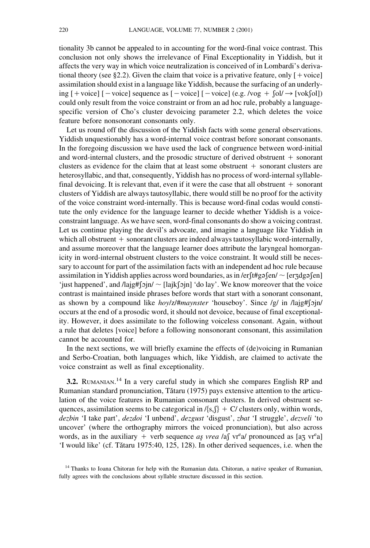tionality 3b cannot be appealed to in accounting for the word-final voice contrast. This conclusion not only shows the irrelevance of Final Exceptionality in Yiddish, but it affects the very way in which voice neutralization is conceived of in Lombardi's derivational theory (see  $\S 2.2$ ). Given the claim that voice is a privative feature, only  $[ + \text{voice} ]$ assimilation should exist in a language like Yiddish, because the surfacing of an underlying  $[ + \text{voice}]$   $[- \text{voice}]$  sequence as  $[- \text{voice}]$   $[- \text{voice}]$  (e.g. /vog  $+$  fol/ $\rightarrow$  [vokfol]) could only result from the voice constraint or from an ad hoc rule, probably a languagespecific version of Cho's cluster devoicing parameter 2.2, which deletes the voice feature before nonsonorant consonants only.

Let us round off the discussion of the Yiddish facts with some general observations. Yiddish unquestionably has a word-internal voice contrast before sonorant consonants. In the foregoing discussion we have used the lack of congruence between word-initial and word-internal clusters, and the prosodic structure of derived obstruent  $+$  sonorant clusters as evidence for the claim that at least some obstruent  $+$  sonorant clusters are heterosyllabic, and that, consequently, Yiddish has no process of word-internal syllablefinal devoicing. It is relevant that, even if it were the case that all obstruent  $+$  sonorant clusters of Yiddish are always tautosyllabic, there would still be no proof for the activity of the voice constraint word-internally. This is because word-final codas would constitute the only evidence for the language learner to decide whether Yiddish is a voiceconstraint language. As we have seen, word-final consonants do show a voicing contrast. Let us continue playing the devil's advocate, and imagine a language like Yiddish in which all obstruent  $+$  sonorant clusters are indeed always tautosyllabic word-internally, and assume moreover that the language learner does attribute the laryngeal homorganicity in word-internal obstruent clusters to the voice constraint. It would still be necessary to account for part of the assimilation facts with an independent ad hoc rule because assimilation in Yiddish applies across word boundaries, as in /er $\int t \, d\theta$  [erzdgə $\int$ en] 'just happened', and /lajg#+:jn/ [lajk+:jn] 'do lay'. We know moreover that the voice contrast is maintained inside phrases before words that start with a sonorant consonant, as shown by a compound like *hoy/z/#maynster* 'houseboy'. Since /g/ in /lajg#f\ojn/ occurs at the end of a prosodic word, it should not devoice, because of final exceptionality. However, it does assimilate to the following voiceless consonant. Again, without a rule that deletes [voice] before a following nonsonorant consonant, this assimilation cannot be accounted for.

In the next sections, we will briefly examine the effects of (de)voicing in Rumanian and Serbo-Croatian, both languages which, like Yiddish, are claimed to activate the voice constraint as well as final exceptionality.

**3.2.** RUMANIAN. <sup>14</sup> In a very careful study in which she compares English RP and Rumanian standard pronunciation, Tătaru (1975) pays extensive attention to the articulation of the voice features in Rumanian consonant clusters. In derived obstruent sequences, assimilation seems to be categorical in  $\{s,\}$  + C/ clusters only, within words, *dezbin* 'I take part', *dezdoi* 'I unbend', *dezgust* 'disgust', *zbat* 'I struggle', *dezveli* 'to uncover' (where the orthography mirrors the voiced pronunciation), but also across words, as in the auxiliary + verb sequence  $a\zeta$  *vrea* /af vr<sup>e</sup>a/ pronounced as [az vr<sup>e</sup>a] 'I would like' (cf. Tǎtaru 1975:40, 125, 128). In other derived sequences, i.e. when the

<sup>&</sup>lt;sup>14</sup> Thanks to Ioana Chitoran for help with the Rumanian data. Chitoran, a native speaker of Rumanian, fully agrees with the conclusions about syllable structure discussed in this section.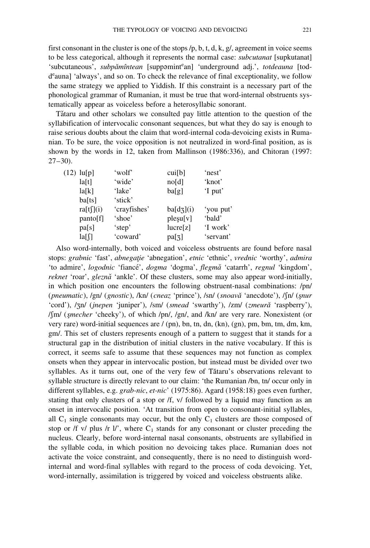first consonant in the cluster is one of the stops /p, b, t, d, k, g/, agreement in voice seems to be less categorical, although it represents the normal case: *subcutanat* [supkutanat] 'subcutaneous', *subpǎmîntean* [suppamintean] 'underground adj.', totdeauna [todde auna] 'always', and so on. To check the relevance of final exceptionality, we follow the same strategy we applied to Yiddish. If this constraint is a necessary part of the phonological grammar of Rumanian, it must be true that word-internal obstruents systematically appear as voiceless before a heterosyllabic sonorant.

Tătaru and other scholars we consulted pay little attention to the question of the syllabification of intervocalic consonant sequences, but what they do say is enough to raise serious doubts about the claim that word-internal coda-devoicing exists in Rumanian. To be sure, the voice opposition is not neutralized in word-final position, as is shown by thewords in 12, taken from Mallinson (1986:336), and Chitoran (1997: 27–30).

| $(12) \ln[p]$ | 'wolf'       | $\text{cui}[b]$        | 'nest'    |
|---------------|--------------|------------------------|-----------|
| la[t]         | 'wide'       | no[d]                  | 'knot'    |
| la[k]         | 'lake'       | ba[g]                  | 'I put'   |
| ba[ts]        | 'stick'      |                        |           |
| ra[t][i]      | 'crayfishes' | $ba[d\overline{3}](i)$ | 'you put' |
| panto[f]      | 'shoe'       | plexu[v]               | 'bald'    |
| pa[s]         | 'step'       | ucre[z]                | 'I work'  |
| la[f]         | 'coward'     | pa[3]                  | 'servant' |
|               |              |                        |           |

Also word-internally, both voiced and voiceless obstruents are found before nasal stops: *grabnic* 'fast', *abnegatie* 'abnegation', *etnic* 'ethnic', *vrednic* 'worthy', *admira* 'to admire', *logodnic* 'fiancé', *dogma* 'dogma', *flegmă* 'catarrh', *regnul* 'kingdom', *reknet* 'roar', *gleznaˇ* 'ankle'. Of these clusters, some may also appear word-initially, in which position one encounters the following obstruent-nasal combinations: /pn/ (*pneumatic*), /gn/ (*gnostic*), /kn/ (*cneaz* 'prince'), /sn/ (*snoavaˇ* 'anecdote'), /+n/ (*snur* 'cord'), /Çn/ (*jnepen* 'juniper'), /sm/ (*smead* 'swarthy'), /zm/ (*zmeuraˇ* 'raspberry'), /+m/ (*smecher* 'cheeky'), of which /pn/, /gn/, and /kn/ are very rare. Nonexistent (or very rare) word-initial sequences are / (pn), bn, tn, dn, (kn), (gn), pm, bm, tm, dm, km, gm/. This set of clusters represents enough of a pattern to suggest that it stands for a structural gap in the distribution of initial clusters in the native vocabulary. If this is correct, it seems safe to assume that these sequences may not function as complex onsets when they appear in intervocalic postion, but instead must be divided over two syllables. As it turns out, one of the very few of Tǎtaru's observations relevant to syllable structure is directly relevant to our claim: 'the Rumanian /bn, tn/ occur only in different syllables, e.g. *grab-nic*, *et-nic*' (1975:86). Agard (1958:18) goes even further, stating that only clusters of a stop or /f, v/ followed by a liquid may function as an onset in intervocalic position. 'At transition from open to consonant-initial syllables, all  $C_1$  single consonants may occur, but the only  $C_1$  clusters are those composed of stop or /f v/ plus /r l/', where  $C_1$  stands for any consonant or cluster preceding the nucleus. Clearly, before word-internal nasal consonants, obstruents are syllabified in the syllable coda, in which position no devoicing takes place. Rumanian does not activate the voice constraint, and consequently, there is no need to distinguish wordinternal and word-final syllables with regard to the process of coda devoicing. Yet, word-internally, assimilation is triggered by voiced and voiceless obstruents alike.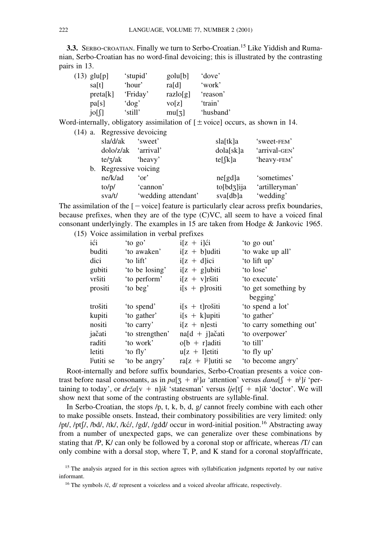**3.3.** SERBO-CROATIAN. Finally we turn to Serbo-Croatian.<sup>15</sup> Like Yiddish and Rumanian, Serbo-Croatian has no word-final devoicing; this is illustrated by the contrasting pairs in 13.

| $(13)$ glu $[p]$ | 'stupid' | golu[b]  | 'dove'    |
|------------------|----------|----------|-----------|
| salt             | 'hour'   | ra[d]    | 'work'    |
| preta[k]         | 'Friday' | razlo[g] | 'reason'  |
| pa[s]            | $'$ dog' | volz     | 'train'   |
| jo[ʃ]            | 'still'  | mu[3]    | 'husband' |

Word-internally, obligatory assimilation of  $[\pm \text{voice}]$  occurs, as shown in 14.

| $(14)$ a. Regressive devoicing |                     |            |                |
|--------------------------------|---------------------|------------|----------------|
| sla/d/ak                       | 'sweet'             | sla[tk]a   | 'sweet-FEM'    |
| dolo/z/ak 'arrival'            |                     | dola[sk]a  | 'arrival-GEN'  |
| te/ʒ/ak                        | 'heavy'             | $te[$ [k]a | 'heavy-FEM'    |
| b. Regressive voicing          |                     |            |                |
| ne/k/ad                        | $\alpha$            | ne[gd]a    | 'sometimes'    |
| to/p/                          | 'cannon'            | to[bdʒ]ija | 'artilleryman' |
| svalt/                         | 'wedding attendant' | sva[db]a   | 'wedding'      |

The assimilation of the  $[-\text{voice}]$  feature is particularly clear across prefix boundaries, because prefixes, when they are of the type (C)VC, all seem to have a voiced final consonant underlyingly. The examples in 15 are taken from Hodge & Jankovic 1965.

(15) Voice assimilation in verbal prefixes

| ići       | 'to go'         | $i[z + i]\acute{c}i$     | 'to go out'                      |
|-----------|-----------------|--------------------------|----------------------------------|
| buditi    | 'to awaken'     | $i[z + b]$ uditi         | 'to wake up all'                 |
| dici      | 'to lift'       | $i[z + d]$ ici           | 'to lift up'                     |
| gubiti    | 'to be losing'  | $i[z + g]$ ubiti         | 'to lose'                        |
| vršiti    | 'to perform'    | $i[z + v]$ ršiti         | to execute'                      |
| prositi   | 'to beg'        | $i[s + p]$ rositi        | 'to get something by<br>begging' |
| trošiti   | 'to spend'      | $i[s + t]$ rošiti        | 'to spend a lot'                 |
| kupiti    | 'to gather'     | $i[s + k]$ upiti         | 'to gather'                      |
| nositi    | 'to carry'      | $i[z + n]$ esti          | 'to carry something out'         |
| jačati    | 'to strengthen' | $na[d + i]a\check{c}ati$ | 'to overpower'                   |
| raditi    | 'to work'       | $o[b + r]$ aditi         | 'to till'                        |
| letiti    | 'to fly'        | $u[z + 1]$ etiti         | 'to fly up'                      |
| Putiti se | 'to be angry'   | $ra[z + 1^j]$ utiti se   | 'to become angry'                |

Root-internally and before suffix boundaries, Serbo-Croatian presents a voice contrast before nasal consonants, as in  $pa[5 + n^j]a$  'attention' versus *dana*[ $\int + n^j$ ]*i* 'pertaining to today', or  $dr \check{z} a$ [v + n]*ik* 'statesman' versus *lje*[tf + n]*ik* 'doctor'. We will show next that some of the contrasting obstruents are syllable-final.

In Serbo-Croatian, the stops  $/p$ , t, k, b, d, g/ cannot freely combine with each other to make possible onsets. Instead, their combinatory possibilities are very limited: only /pt/, /ptf/, /bd/, /tk/, /kć/, /gd/, /gdd/ occur in word-initial position.<sup>16</sup> Abstracting away from a number of unexpected gaps, we can generalize over these combinations by stating that /P, K/ can only be followed by a coronal stop or affricate, whereas /T/ can only combine with a dorsal stop, where  $T$ ,  $P$ , and  $K$  stand for a coronal stop/affricate,

<sup>&</sup>lt;sup>15</sup> The analysis argued for in this section agrees with syllabification judgments reported by our native informant.

 $16$  The symbols  $/6$ ,  $d/$  represent a voiceless and a voiced alveolar affricate, respectively.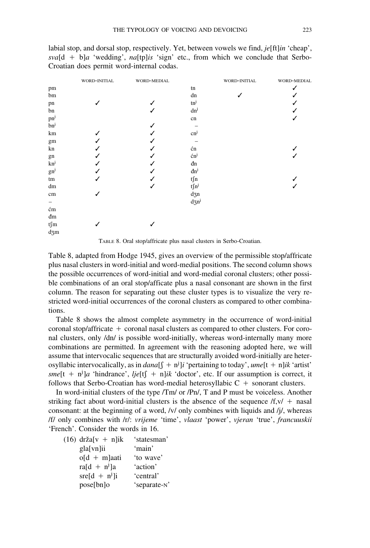|                                                                                     | labial stop, and dorsal stop, respectively. Yet, between vowels we find, $j\epsilon$ [ft] <i>in</i> 'cheap', |
|-------------------------------------------------------------------------------------|--------------------------------------------------------------------------------------------------------------|
| $sva[d + b]a$ 'wedding', $na[tp]is$ 'sign' etc., from which we conclude that Serbo- |                                                                                                              |
| Croatian does permit word-internal codas.                                           |                                                                                                              |

|                                     | WORD-INITIAL | WORD-MEDIAL |                             | WORD-INITIAL | WORD-MEDIAL |
|-------------------------------------|--------------|-------------|-----------------------------|--------------|-------------|
| pm                                  |              |             | tn                          |              |             |
| bm                                  |              |             | dn                          |              |             |
| pn                                  |              |             | $\text{tn}^{\text{j}}$      |              |             |
| bn                                  |              |             | $dn^j$                      |              |             |
| $\rm pn^j$                          |              |             | ${\rm cn}$                  |              |             |
| $\mathbf{b}\mathbf{n}^{\mathbf{j}}$ |              |             |                             |              |             |
| km                                  |              |             | $cn^j$                      |              |             |
| gm                                  |              |             |                             |              |             |
| kn                                  |              |             | ćn                          |              |             |
| gn                                  |              |             | ćn <sup>j</sup>             |              |             |
| $kn^j$                              |              |             | đn                          |              |             |
| $gn^j$                              |              |             | $\mathrm{d} n^{\mathrm{j}}$ |              |             |
| tm                                  |              |             | $t \int n$                  |              |             |
| dm                                  |              |             | $t \int n^j$                |              |             |
| $\,\rm cm$                          |              |             | dzn                         |              |             |
| $\overline{\phantom{m}}$            |              |             | $d\mathfrak{Z}n^j$          |              |             |
| ćm                                  |              |             |                             |              |             |
| đm                                  |              |             |                             |              |             |
| tſm                                 |              |             |                             |              |             |
| dzm                                 |              |             |                             |              |             |

TABLE 8. Oral stop/affricate plus nasal clusters in Serbo-Croatian.

Table 8, adapted from Hodge 1945, gives an overview of the permissible stop/affricate plus nasal clusters in word-initial and word-medial positions. The second column shows the possible occurrences of word-initial and word-medial coronal clusters; other possible combinations of an oral stop/afficate plus a nasal consonant are shown in the first column. The reason for separating out these cluster types is to visualize the very restricted word-initial occurrences of the coronal clusters as compared to other combinations.

Table 8 shows the almost complete asymmetry in the occurrence of word-initial coronal stop/affricate + coronal nasal clusters as compared to other clusters. For coronal clusters, only /dn/ is possible word-initially, whereas word-internally many more combinations are permitted. In agreement with the reasoning adopted here, we will assume that intervocalic sequences that are structurally avoided word-initially are heterosyllabic intervocalically, as in *dana*[ $\int + n^j$ ]*i* 'pertaining to today', *ume*[ $t + n$ ]*ik* 'artist'  $sme[t + n<sup>j</sup>]a$  'hindrance',  $lje[t] + n]ik$  'doctor', etc. If our assumption is correct, it follows that Serbo-Croatian has word-medial heterosyllabic  $C +$  sonorant clusters.

In word-initial clusters of the type /Tm/ or /Pn/, T and P must be voiceless. Another striking fact about word-initial clusters is the absence of the sequence  $/f$ ,  $v/ +$  nasal consonant: at the beginning of a word, /v/ only combines with liquids and /j/, whereas /f/ only combines with /r/: *vrijeme* 'time', *vlaast* 'power', *vjeran* 'true', *francuuskii* 'French'. Consider the words in 16.

| $(16)$ drža $[v + n]$ ik | 'statesman'  |
|--------------------------|--------------|
| gla[vn]ii                | 'main'       |
| $o[d + m]$ aati          | 'to wave'    |
| $ra[d + nj]a$            | 'action'     |
| $\text{srel}(d + n^j)i$  | 'central'    |
| pose[bn]o                | 'separate-N' |
|                          |              |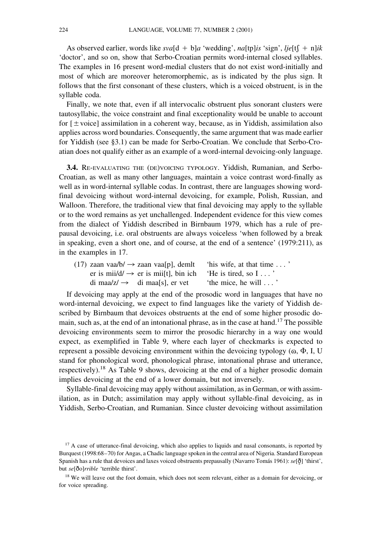As observed earlier, words like  $sva[d + b]a$  'wedding',  $na[tp]is$  'sign',  $lje[t] + n]ik$ 'doctor', and so on, show that Serbo-Croatian permits word-internal closed syllables. The examples in 16 present word-medial clusters that do not exist word-initially and most of which are moreover heteromorphemic, as is indicated by the plus sign. It follows that the first consonant of these clusters, which is a voiced obstruent, is in the syllable coda.

Finally, we note that, even if all intervocalic obstruent plus sonorant clusters were tautosyllabic, the voice constraint and final exceptionality would be unable to account for  $[\pm \text{voice}]$  assimilation in a coherent way, because, as in Yiddish, assimilation also applies across word boundaries. Consequently, the same argument that was made earlier for Yiddish (see §3.1) can be made for Serbo-Croatian. We conclude that Serbo-Croatian does not qualify either as an example of a word-internal devoicing-only language.

**3.4.** RE-EVALUATING THE (DE)VOICING TYPOLOGY. Yiddish, Rumanian, and Serbo-Croatian, as well as many other languages, maintain a voice contrast word-finally as well as in word-internal syllable codas. In contrast, there are languages showing wordfinal devoicing without word-internal devoicing, for example, Polish, Russian, and Walloon. Therefore, the traditional view that final devoicing may apply to the syllable or to the word remains as yet unchallenged. Independent evidence for this view comes from the dialect of Yiddish described in Birnbaum 1979, which has a rule of prepausal devoicing, i.e. oral obstruents are always voiceless 'when followed by a break in speaking, even a short one, and of course, at the end of a sentence' (1979:211), as in the examples in 17.

|  | $(17)$ zaan vaa/b/ $\rightarrow$ zaan vaa[p], demlt | 'his wife, at that time      |
|--|-----------------------------------------------------|------------------------------|
|  | er is mii/d/ $\rightarrow$ er is mii[t], bin ich    | 'He is tired, so I'          |
|  | di maa/z/ $\rightarrow$ di maa[s], er vet           | 'the mice, he will $\dots$ ' |

If devoicing may apply at the end of the prosodic word in languages that have no word-internal devoicing, we expect to find languages like the variety of Yiddish described by Birnbaum that devoices obstruents at the end of some higher prosodic domain, such as, at the end of an intonational phrase, as in the case at hand.<sup>17</sup> The possible devoicing environments seem to mirror the prosodic hierarchy in a way one would expect, as exemplified in Table 9, where each layer of checkmarks is expected to represent a possible devoicing environment within the devoicing typology  $(\omega, \Phi, I, U)$ stand for phonological word, phonological phrase, intonational phrase and utterance, respectively).<sup>18</sup> As Table 9 shows, devoicing at the end of a higher prosodic domain implies devoicing at the end of a lower domain, but not inversely.

Syllable-final devoicing may apply without assimilation, as in German, or with assimilation, as in Dutch; assimilation may apply without syllable-final devoicing, as in Yiddish, Serbo-Croatian, and Rumanian. Since cluster devoicing without assimilation

<sup>&</sup>lt;sup>17</sup> A case of utterance-final devoicing, which also applies to liquids and nasal consonants, is reported by Burquest (1998:68–70) for Angas, a Chadic language spoken in the central area of Nigeria. Standard European Spanish has a rule that devoices and laxes voiced obstruents prepausally (Navarro Toma´s 1961): *se*[ð] 'thirst', but *se*[ðo]*rrible* 'terrible thirst'.

<sup>&</sup>lt;sup>18</sup> We will leave out the foot domain, which does not seem relevant, either as a domain for devoicing, or for voice spreading.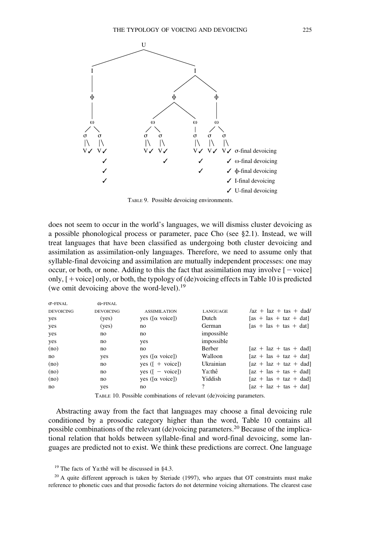

TABLE 9. Possible devoicing environments.

does not seem to occur in the world's languages, we will dismiss cluster devoicing as a possible phonological process or parameter, pace Cho (see §2.1). Instead, we will treat languages that have been classified as undergoing both cluster devoicing and assimilation as assimilation-only languages. Therefore, we need to assume only that syllable-final devoicing and assimilation are mutually independent processes: one may occur, or both, or none. Adding to this the fact that assimilation may involve  $[-\text{voice}]$ only, [-voice] only, or both, the typology of (de)voicing effects in Table 10 is predicted (we omit devoicing above the word-level).<sup>19</sup>

| σ-FINAL          | <b>@-FINAL</b>   |                                              |            |                                                                |
|------------------|------------------|----------------------------------------------|------------|----------------------------------------------------------------|
| <b>DEVOICING</b> | <b>DEVOICING</b> | <b>ASSIMILATION</b>                          | LANGUAGE   | $\alpha z + \alpha z + \alpha z + \alpha$                      |
| yes              | (yes)            | yes ( $\lceil \alpha \text{ voice} \rceil$ ) | Dutch      | $[as + las + tax + dat]$                                       |
| yes              | (yes)            | no                                           | German     | $[as + las + tas + dat]$                                       |
| yes              | no               | no                                           | impossible |                                                                |
| yes              | no               | yes                                          | impossible |                                                                |
| (no)             | no               | no                                           | Berber     | $[az + laz + tas + dad]$                                       |
| no               | yes              | yes ( $\lceil \alpha \text{ voice} \rceil$ ) | Walloon    | $\left[az + las + tax + dat\right]$                            |
| (no)             | no               | yes $(1 + \text{voice})$                     | Ukrainian  | $\left[az + \frac{1}{az} + \frac{1}{az} + \frac{1}{c} \right]$ |
| (no)             | no               | yes $(1 - voice)$                            | Ya:thê     | $\left[az + las + tas + dad\right]$                            |
| (no)             | no               | yes ( $\lceil \alpha \text{ voice} \rceil$ ) | Yiddish    | $\left[az + las + tax + dad\right]$                            |
| no               | yes              | no                                           | 2          | $\left[az + \right]az + \left[ tas + \right]da$                |
|                  |                  |                                              |            |                                                                |

TABLE 10. Possible combinations of relevant (de)voicing parameters.

Abstracting away from the fact that languages may choose a final devoicing rule conditioned by a prosodic category higher than the word, Table 10 contains all possible combinations of the relevant (de)voicing parameters.<sup>20</sup> Because of the implicational relation that holds between syllable-final and word-final devoicing, some languages are predicted not to exist. We think these predictions are correct. One language

### $19$  The facts of Ya:thê will be discussed in §4.3.

<sup>20</sup> A quite different approach is taken by Steriade (1997), who argues that OT constraints must make reference to phonetic cues and that prosodic factors do not determine voicing alternations. The clearest case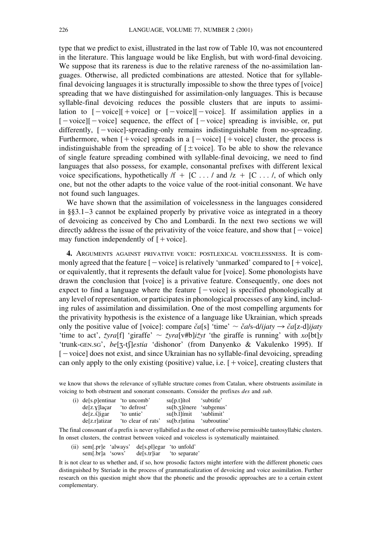type that we predict to exist, illustrated in the last row of Table 10, was not encountered in the literature. This language would be like English, but with word-final devoicing. We suppose that its rareness is due to the relative rareness of the no-assimilation languages. Otherwise, all predicted combinations are attested. Notice that for syllablefinal devoicing languages it is structurally impossible to show the three types of [voice] spreading that we have distinguished for assimilation-only languages. This is because syllable-final devoicing reduces the possible clusters that are inputs to assimilation to  $[-\text{voice}]] + \text{voice}$  or  $[-\text{voice}]] - \text{voice}$ . If assimilation applies in a  $[-\text{voice}]] - \text{voice}$  sequence, the effect of  $[-\text{voice}]$  spreading is invisible, or, put differently,  $[-\text{voice}]$ -spreading-only remains indistinguishable from no-spreading. Furthermore, when  $[ + \text{voice} ]$  spreads in a  $[ - \text{voice} ]$   $[ + \text{voice} ]$  cluster, the process is indistinguishable from the spreading of  $[\pm \text{voice}]$ . To be able to show the relevance of single feature spreading combined with syllable-final devoicing, we need to find languages that also possess, for example, consonantal prefixes with different lexical voice specifications, hypothetically  $/f + [C \dots /$  and  $/z + [C \dots /$ , of which only one, but not the other adapts to the voice value of the root-initial consonant. We have not found such languages.

We have shown that the assimilation of voicelessness in the languages considered in §§3.1–3 cannot be explained properly by privative voice as integrated in a theory of devoicing as conceived by Cho and Lombardi. In the next two sections we will directly address the issue of the privativity of the voice feature, and show that  $[-\text{voice}]$ may function independently of  $[+$  voice].

**4.** ARGUMENTS AGAINST PRIVATIVE VOICE: POSTLEXICAL VOICELESSNESS. It is commonly agreed that the feature  $[-\text{voice}]$  is relatively 'unmarked' compared to  $[+\text{voice}]$ , or equivalently, that it represents the default value for [voice]. Some phonologists have drawn the conclusion that [voice] is a privative feature. Consequently, one does not expect to find a language where the feature  $[-\text{voice}]$  is specified phonologically at any level of representation, or participates in phonological processes of any kind, including rules of assimilation and dissimilation. One of the most compelling arguments for the privativity hypothesis is the existence of a language like Ukrainian, which spreads only the positive value of [voice]: compare  $\check{c}a[s]$  'time'  $\sim \check{c}a/s$ -d/*ijaty*  $\rightarrow \check{c}a[z$ -d]*ijaty* 'time to act',  $\zeta yra[f]$  'giraffe'  $\sim \zeta yra[v\#b]i\zeta yt$  'the giraffe is running' with *xo*[bt]*y* 'trunk-GEN.SG', *be*[3-tf]*estia* 'dishonor' (from Danyenko & Vakulenko 1995). If  $[-\text{voice}]$  does not exist, and since Ukrainian has no syllable-final devoicing, spreading can only apply to the only existing (positive) value, i.e.  $[ + \text{voice}],$  creating clusters that

we know that shows the relevance of syllable structure comes from Catalan, where obstruents assimilate in voicing to both obstruent and sonorant consonants. Consider the prefixes *des* and *sub*.

| $(i)$ de[s.p]entinar 'to uncomb' |                    | su[p.t]itol  | 'subtitle'   |
|----------------------------------|--------------------|--------------|--------------|
| $de[z,y]$ laçar                  | 'to defrost'       | su[b.3]ènere | 'subgenus'   |
| $de[z, \hat{\Lambda}]$ igar      | 'to untie'         | su[b.l]ímit  | 'sublimit'   |
| $de[z,r]$ atizar                 | 'to clear of rats' | su[b.r]utina | 'subroutine' |

The final consonant of a prefix is never syllabified as the onset of otherwise permissible tautosyllabic clusters. In onset clusters, the contrast between voiced and voiceless is systematically maintained.

(ii) sem[.pr]e 'always' de[s.pl]egar 'to unfold' sem[.br]a 'sows' de[s.tr]iar 'to separate'

It is not clear to us whether and, if so, how prosodic factors might interfere with the different phonetic cues distinguished by Steriade in the process of grammaticalization of devoicing and voice assimilation. Further research on this question might show that the phonetic and the prosodic approaches are to a certain extent complementary.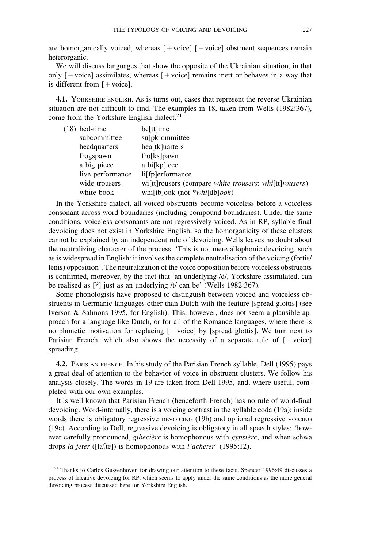are homorganically voiced, whereas  $[ + \text{voice} ] [- \text{voice}]$  obstruent sequences remain heterorganic.

We will discuss languages that show the opposite of the Ukrainian situation, in that only  $[-\text{voice}]$  assimilates, whereas  $[+\text{voice}]$  remains inert or behaves in a way that is different from  $[ + \text{voice}].$ 

**4.1.** YORKSHIRE ENGLISH. As is turns out, cases that represent the reverse Ukrainian situation are not difficult to find. The examples in 18, taken from Wells (1982:367), come from the Yorkshire English dialect.<sup>21</sup>

| $(18)$ bed-time  | be <sub>[tt]</sub> ime                                 |
|------------------|--------------------------------------------------------|
| subcommittee     | su[pk]ommittee                                         |
| headquarters     | hea[tk]uarters                                         |
| frogspawn        | fro[ks]pawn                                            |
| a big piece      | a bi[kp]iece                                           |
| live performance | li[fp]erformance                                       |
| wide trousers    | wi[tt]rousers (compare white trousers: whi[tt]rousers) |
| white book       | whi[tb]ook (not *whi[db]ook)                           |

In the Yorkshire dialect, all voiced obstruents become voiceless before a voiceless consonant across word boundaries (including compound boundaries). Under the same conditions, voiceless consonants are not regressively voiced. As in RP, syllable-final devoicing does not exist in Yorkshire English, so the homorganicity of these clusters cannot be explained by an independent rule of devoicing. Wells leaves no doubt about the neutralizing character of the process. 'This is not mere allophonic devoicing, such as is widespread in English: it involves the complete neutralisation of the voicing (fortis/ lenis) opposition'. The neutralization of the voice opposition before voiceless obstruents is confirmed, moreover, by the fact that 'an underlying /d/, Yorkshire assimilated, can be realised as  $[2]$  just as an underlying  $/t$  can be' (Wells 1982:367).

Some phonologists have proposed to distinguish between voiced and voiceless obstruents in Germanic languages other than Dutch with the feature [spread glottis] (see Iverson & Salmons 1995, for English). This, however, does not seem a plausible approach for a language like Dutch, or for all of the Romance languages, where there is no phonetic motivation for replacing  $[-\text{voice}]$  by [spread glottis]. We turn next to Parisian French, which also shows the necessity of a separate rule of  $[-\text{voice}]$ spreading.

**4.2.** PARISIAN FRENCH. In his study of the Parisian French syllable, Dell (1995) pays a great deal of attention to the behavior of voice in obstruent clusters. We follow his analysis closely. The words in 19 are taken from Dell 1995, and, where useful, completed with our own examples.

It is well known that Parisian French (henceforth French) has no rule of word-final devoicing. Word-internally, there is a voicing contrast in the syllable coda (19a); inside words there is obligatory regressive DEVOICING (19b) and optional regressive VOICING (19c). According to Dell, regressive devoicing is obligatory in all speech styles: 'however carefully pronounced, *gibecière* is homophonous with *gypsière*, and when schwa drops *la jeter* ([lafte]) is homophonous with *l'acheter'* (1995:12).

<sup>&</sup>lt;sup>21</sup> Thanks to Carlos Gussenhoven for drawing our attention to these facts. Spencer 1996:49 discusses a process of fricative devoicing for RP, which seems to apply under the same conditions as the more general devoicing process discussed here for Yorkshire English.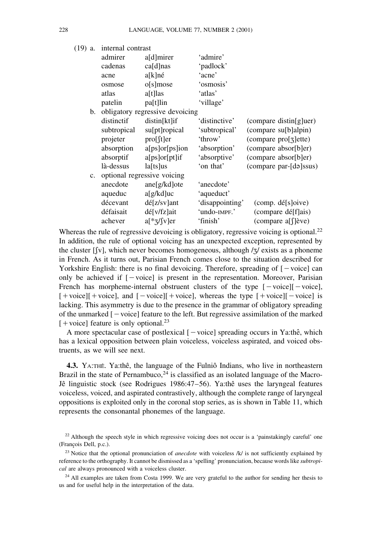| $(19)$ a. |    | internal contrast |                                 |                 |                             |
|-----------|----|-------------------|---------------------------------|-----------------|-----------------------------|
|           |    | admirer           | a[d]mirer                       | 'admire'        |                             |
|           |    | cadenas           | $ca[d]$ nas                     | 'padlock'       |                             |
|           |    | acne              | a[k]né                          | 'acne'          |                             |
|           |    | osmose            | $o[s]$ mose                     | 'osmosis'       |                             |
|           |    | atlas             | a[t] as                         | 'atlas'         |                             |
|           |    | patelin           | pa[t]lin                        | 'village'       |                             |
|           | b. |                   | obligatory regressive devoicing |                 |                             |
|           |    | distinctif        | distin[kt]                      | 'distinctive'   | $(compare distinct [g]uer)$ |
|           |    | subtropical       | su[pt]ropical                   | 'subtropical'   | (compare su[b]alpin)        |
|           |    | projeter          | pro[ft]er                       | 'throw'         | (compare pro[3]ette)        |
|           |    | absorption        | a[ps]or[ps]ion                  | 'absorption'    | (compare absor[b]er)        |
|           |    | absorptif         | a[ps]or[pt]if                   | 'absorptive'    | (compare absor[b]er)        |
|           |    | là-dessus         | $la[ts]$ us                     | 'on that'       | (compare par-[də]ssus)      |
|           | c. |                   | optional regressive voicing     |                 |                             |
|           |    | anecdote          | $ane[g/kd]$ ote                 | 'anecdote'      |                             |
|           |    | aqueduc           | $a[g/kd]$ uc                    | 'aqueduct'      |                             |
|           |    | décevant          | dé[z/sv]ant                     | 'disappointing' | (comp. dé[s]oive)           |
|           |    | défaisait         | dé[v/fz]ait                     | 'undo-IMPF.'    | (compare dé[f]ais)          |
|           |    | achever           | $a[^*3]{v}$ ]er                 | 'finish'        | (compare a[f]ève)           |

Whereas the rule of regressive devoicing is obligatory, regressive voicing is optional.<sup>22</sup> In addition, the rule of optional voicing has an unexpected exception, represented by the cluster  $[fv]$ , which never becomes homogeneous, although  $\frac{1}{3}$  exists as a phoneme in French. As it turns out, Parisian French comes close to the situation described for Yorkshire English: there is no final devoicing. Therefore, spreading of  $[-\text{voice}]$  can only be achieved if  $[-\text{voice}]$  is present in the representation. Moreover, Parisian French has morpheme-internal obstruent clusters of the type  $[-\text{voice}]] - \text{voice}$ ,  $[+$  voice] $[+$  voice], and  $[-$  voice] $[+$  voice], whereas the type  $[+$  voice] $[-$  voice] is lacking. This asymmetry is due to the presence in the grammar of obligatory spreading of the unmarked  $[-\text{voice}]$  feature to the left. But regressive assimilation of the marked  $[+$  voice] feature is only optional.<sup>23</sup>

A more spectacular case of postlexical  $[-\text{voice}]$  spreading occurs in Ya:thê, which has a lexical opposition between plain voiceless, voiceless aspirated, and voiced obstruents, as we will see next.

4.3. YA:THÊ. Ya:thê, the language of the Fulniô Indians, who live in northeastern Brazil in the state of Pernambuco, $2<sup>4</sup>$  is classified as an isolated language of the Macro-Jê linguistic stock (see Rodrigues 1986:47–56). Ya:thê uses the laryngeal features voiceless, voiced, and aspirated contrastively, although the complete range of laryngeal oppositions is exploited only in the coronal stop series, as is shown in Table 11, which represents the consonantal phonemes of the language.

 $24$  All examples are taken from Costa 1999. We are very grateful to the author for sending her thesis to us and for useful help in the interpretation of the data.

 $22$  Although the speech style in which regressive voicing does not occur is a 'painstakingly careful' one (François Dell, p.c.).

<sup>&</sup>lt;sup>23</sup> Notice that the optional pronunciation of *anecdote* with voiceless /k/ is not sufficiently explained by reference to the orthography. It cannot be dismissed as a 'spelling' pronunciation, because words like *subtropical* are always pronounced with a voiceless cluster.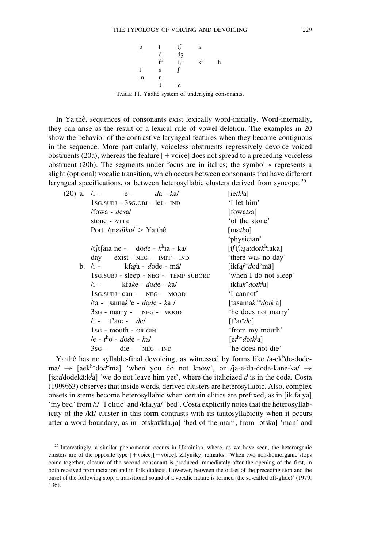

In Ya:thê, sequences of consonants exist lexically word-initially. Word-internally, they can arise as the result of a lexical rule of vowel deletion. The examples in 20 show the behavior of the contrastive laryngeal features when they become contiguous in the sequence. More particularly, voiceless obstruents regressively devoice voiced obstruents (20a), whereas the feature [ + voice] does not spread to a preceding voiceless obstruent (20b). The segments under focus are in italics; the symbol « represents a slight (optional) vocalic transition, which occurs between consonants that have different laryngeal specifications, or between heterosyllabic clusters derived from syncope.<sup>25</sup>

| $(20)$ a. $h'$ - e - da - ka/                      | [ietk <sup>j</sup> a]                       |
|----------------------------------------------------|---------------------------------------------|
| $1s$ g.subj - $3s$ g.obj - $let$ - $np$            | 'I let him'                                 |
| /fowa - <i>desa</i> /                              | [fowatsa]                                   |
| stone - ATTR                                       | 'of the stone'                              |
| Port. / $medko/$ > Ya:thê                          | [ $m$ $\epsilon$ $k$ o]                     |
|                                                    | 'physician'                                 |
| /t[t] $\alpha$ ne - dode - $k^{\text{th}}$ a - ka/ | [tftfaja:dotk <sup>h</sup> iaka]            |
| day exist - NEG - IMPF - IND                       | 'there was no day'                          |
| b. $\lambda$ - $kfafa - dode - m\tilde{a}$         | [ikfa $f^*d$ od $^*$ mã]                    |
| 1sG.SUBJ - sleep - NEG - TEMP SUBORD               | 'when I do not sleep'                       |
| $\lambda$ i - kfake - dode - kal                   | [ikfa $k^{\ast}$ dot $k^{\dagger}$ a]       |
| 1sg.subJ-can - NEG - MOOD                          | 'I cannot'                                  |
| /ta - sama $k^h$ e - dode - ka /                   | [tasamak <sup>h«</sup> dotk <sup>j</sup> a] |
| 3sG - marry - NEG - MOOD                           | 'he does not marry'                         |
| $/i - thate - de/$                                 | $[that*de]$                                 |
| $1$ sg - mouth - Origin                            | 'from my mouth'                             |
| $/e - tho - dode - kal$                            | $[et^{\text{h}\ll}dot k^{\text{j}}a]$       |
| $3sG -$ die - NEG - IND                            | 'he does not die'                           |

Ya:thê has no syllable-final devoicing, as witnessed by forms like /a-ekhde-dodema/  $\rightarrow$  [aek<sup>h«</sup>do*d*«ma] 'when you do not know', or /ja-e-da-dode-kane-ka/  $\rightarrow$ [jɛː*d*dodekãːkʲa] 'we do not leave him yet', where the italicized *d* is in the coda. Costa (1999:63) observes that inside words, derived clusters are heterosyllabic. Also, complex onsets in stems become heterosyllabic when certain clitics are prefixed, as in [ik.fa.ya] 'my bed' from /i/ '1 clitic' and /kfa.ya/ 'bed'. Costa explicitly notes that the heterosyllabicity of the /kf/ cluster in this form contrasts with its tautosyllabicity when it occurs after a word-boundary, as in [otska#kfa.ja] 'bed of the man', from [otska] 'man' and

<sup>&</sup>lt;sup>25</sup> Interestingly, a similar phenomenon occurs in Ukrainian, where, as we have seen, the heterorganic clusters are of the opposite type [ + voice][ - voice]. Zilynskyj remarks: 'When two non-homorganic stops come together, closure of the second consonant is produced immediately after the opening of the first, in both received pronunciation and in folk dialects. However, between the offset of the preceding stop and the onset of the following stop, a transitional sound of a vocalic nature is formed (the so-called off-glide)' (1979: 136).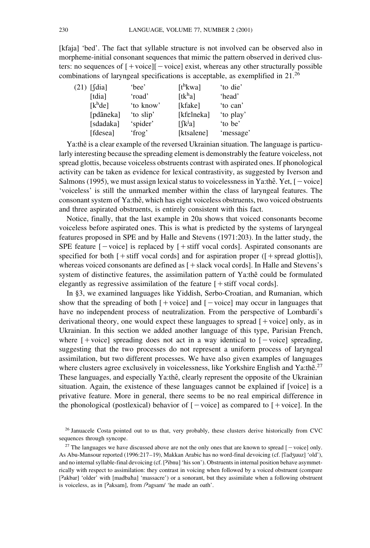[kfaja] 'bed'. The fact that syllable structure is not involved can be observed also in morpheme-initial consonant sequences that mimic the pattern observed in derived clusters: no sequences of  $[+$  voice] $[-$  voice] exist, whereas any other structurally possible combinations of laryngeal specifications is acceptable, as exemplified in 21.<sup>26</sup>

| $(21)$ [sia] | 'bee'     | $[t^h$ kwa]                 | 'to die'  |
|--------------|-----------|-----------------------------|-----------|
| [tdia]       | 'road'    | $[tk^h a]$                  | 'head'    |
| $[k^hde]$    | 'to know' | [kfake]                     | 'to can'  |
| [pdãneka]    | 'to slip' | [kfɛlneka]                  | 'to play' |
| [sdadaka]    | 'spider'  | $\lceil$ (k <sup>j</sup> a) | 'to be'   |
| [fdesea]     | 'frog'    | [ktsalene]                  | 'message' |

Ya:thê is a clear example of the reversed Ukrainian situation. The language is particularly interesting because the spreading element is demonstrably the feature voiceless, not spread glottis, because voiceless obstruents contrast with aspirated ones. If phonological activity can be taken as evidence for lexical contrastivity, as suggested by Iverson and Salmons (1995), we must assign lexical status to voicelessness in Ya:thê. Yet,  $[-\text{voice}]$ 'voiceless' is still the unmarked member within the class of laryngeal features. The consonant system of Ya:thê, which has eight voiceless obstruents, two voiced obstruents and three aspirated obstruents, is entirely consistent with this fact.

Notice, finally, that the last example in 20a shows that voiced consonants become voiceless before aspirated ones. This is what is predicted by the systems of laryngeal features proposed in SPE and by Halle and Stevens (1971:203). In the latter study, the SPE feature  $[-\text{voice}]$  is replaced by  $[+ \text{stiff} \text{ vocal cords}]$ . Aspirated consonants are specified for both  $[ + \text{stiff} \text{ vocal cords}]$  and for aspiration proper  $([ + \text{spread glottis}]),$ whereas voiced consonants are defined as [ + slack vocal cords]. In Halle and Stevens's system of distinctive features, the assimilation pattern of Ya:thê could be formulated elegantly as regressive assimilation of the feature  $[ + \text{stiff}$  vocal cords].

In §3, we examined languages like Yiddish, Serbo-Croatian, and Rumanian, which show that the spreading of both  $[+$  voice] and  $[-$  voice] may occur in languages that have no independent process of neutralization. From the perspective of Lombardi's derivational theory, one would expect these languages to spread [+voice] only, as in Ukrainian. In this section we added another language of this type, Parisian French, where  $[ + \text{voice} ]$  spreading does not act in a way identical to  $[ - \text{voice} ]$  spreading, suggesting that the two processes do not represent a uniform process of laryngeal assimilation, but two different processes. We have also given examples of languages where clusters agree exclusively in voicelessness, like Yorkshire English and Ya:thê.<sup>27</sup> These languages, and especially Ya:thê, clearly represent the opposite of the Ukrainian situation. Again, the existence of these languages cannot be explained if [voice] is a privative feature. More in general, there seems to be no real empirical difference in the phonological (postlexical) behavior of  $[-\text{voice}]$  as compared to  $[+\text{voice}]$ . In the

<sup>&</sup>lt;sup>26</sup> Januacele Costa pointed out to us that, very probably, these clusters derive historically from CVC sequences through syncope.

<sup>&</sup>lt;sup>27</sup> The languages we have discussed above are not the only ones that are known to spread  $[-\text{voice}]$  only. As Abu-Mansour reported (1996:217-19), Makkan Arabic has no word-final devoicing (cf. ['adʒuuz] 'old'), and no internal syllable-final devoicing (cf. [<sup>2</sup>ibnu] 'his son'). Obstruents in internal position behave asymmetrically with respect to assimilation: they contrast in voicing when followed by a voiced obstruent (compare [<sup>2</sup>akbar] 'older' with [madbaħa] 'massacre') or a sonorant, but they assimilate when a following obstruent is voiceless, as in [<sup>2</sup>aksam], from /<sup>2</sup>agsam/ 'he made an oath'.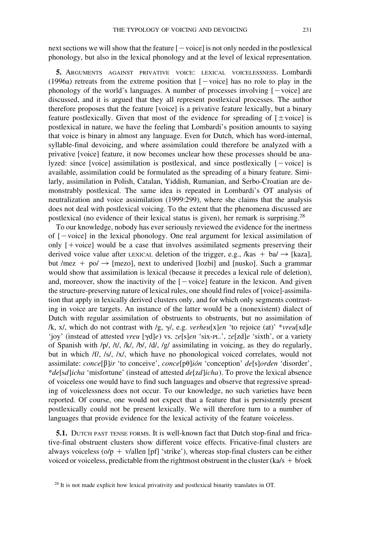next sections we will show that the feature  $[-\text{voice}]$  is not only needed in the postlexical phonology, but also in the lexical phonology and at the level of lexical representation.

**5.** ARGUMENTS AGAINST PRIVATIVE VOICE: LEXICAL VOICELESSNESS. Lombardi (1996a) retreats from the extreme position that  $[-\text{voice}]$  has no role to play in the phonology of the world's languages. A number of processes involving  $[-\text{voice}]$  are discussed, and it is argued that they all represent postlexical processes. The author therefore proposes that the feature [voice] is a privative feature lexically, but a binary feature postlexically. Given that most of the evidence for spreading of  $[\pm \text{voice}]$  is postlexical in nature, we have the feeling that Lombardi's position amounts to saying that voice is binary in almost any language. Even for Dutch, which has word-internal, syllable-final devoicing, and where assimilation could therefore be analyzed with a privative [voice] feature, it now becomes unclear how these processes should be analyzed: since [voice] assimilation is postlexical, and since postlexically  $[-\text{voice}]$  is available, assimilation could be formulated as the spreading of a binary feature. Similarly, assimilation in Polish, Catalan, Yiddish, Rumanian, and Serbo-Croatian are demonstrably postlexical. The same idea is repeated in Lombardi's OT analysis of neutralization and voice assimilation (1999:299), where she claims that the analysis does not deal with postlexical voicing. To the extent that the phenomena discussed are postlexical (no evidence of their lexical status is given), her remark is surprising.<sup>28</sup>

To our knowledge, nobody has ever seriously reviewed the evidence for the inertness of  $[-\text{vice}]$  in the lexical phonology. One real argument for lexical assimilation of only [-voice] would be a case that involves assimilated segments preserving their derived voice value after LEXICAL deletion of the trigger, e.g., /kas + ba/  $\rightarrow$  [kaza], but /mez + po/  $\rightarrow$  [mezo], next to underived [lozbi] and [nusko]. Such a grammar would show that assimilation is lexical (because it precedes a lexical rule of deletion), and, moreover, show the inactivity of the  $[-\text{voice}]$  feature in the lexicon. And given the structure-preserving nature of lexical rules, one should find rules of [voice]-assimilation that apply in lexically derived clusters only, and for which only segments contrasting in voice are targets. An instance of the latter would be a (nonexistent) dialect of Dutch with regular assimilation of obstruents to obstruents, but no assimilation of /k, x/, which do not contrast with /g,  $\gamma$ /, e.g. *verheu*[x]*en* 'to rejoice (at)' \**vreu*[xd]*e* 'joy' (instead of attested *vreu* [ $\gamma d$ ]*e*) vs. *ze*[s]*en* 'six-PL.', *ze*[zd]*e* 'sixth', or a variety of Spanish with /p/, /t/, /k/, /b/, /d/, /g/ assimilating in voicing, as they do regularly, but in which /f/, /s/, /x/, which have no phonological voiced correlates, would not assimilate: *conce*[8]*ir* 'to conceive', *conce*[p ]*io´n* 'conception' *de*[s]*orden* 'disorder', \**de*[s*d*]*icha* 'misfortune' (instead of attested *de*[z*d*]*icha*). To prove the lexical absence of voiceless one would have to find such languages and observe that regressive spreading of voicelessness does not occur. To our knowledge, no such varieties have been reported. Of course, one would not expect that a feature that is persistently present postlexically could not be present lexically. We will therefore turn to a number of languages that provide evidence for the lexical activity of the feature voiceless.

**5.1.** DUTCH PAST TENSE FORMS. It is well-known fact that Dutch stop-final and fricative-final obstruent clusters show different voice effects. Fricative-final clusters are always voiceless (o/p + v/allen [pf] 'strike'), whereas stop-final clusters can be either voiced or voiceless, predictable from the rightmost obstruent in the cluster (ka/s + b/oek

<sup>&</sup>lt;sup>28</sup> It is not made explicit how lexical privativity and postlexical binarity translates in OT.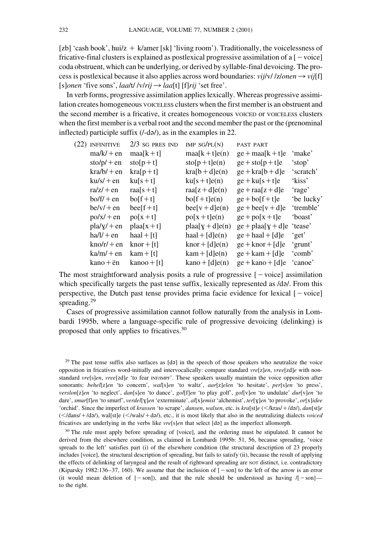[zb] 'cash book', hui/z + k/amer [sk] 'living room'). Traditionally, the voicelessness of fricative-final clusters is explained as postlexical progressive assimilation of a  $[-\text{voice}]$ coda obstruent, which can be underlying, or derived by syllable-final devoicing. The process is postlexical because it also applies across word boundaries: *vij/v/ /z/onen*  $\rightarrow$  *vij*[f]  $[s]$ *onen* 'five sons', *laalt/ /v/rij*  $\rightarrow$  *laa*[t] [f]*rij* 'set free'.

In verb forms, progressive assimilation applies lexically. Whereas progressive assimilation creates homogeneous voicelless clusters when the first member is an obstruent and the second member is a fricative, it creates homogeneous VOICED or VOICELESS clusters when the first member is a verbal root and the second member the past or the (prenominal inflected) participle suffix  $($ /-də $/$ ), as in the examples in 22.

| (22) INFINITIVE             | $2/3$ sg PRES IND | IMP $SG/PL(N)$                        | <b>PAST PART</b>                |            |
|-----------------------------|-------------------|---------------------------------------|---------------------------------|------------|
| $ma/k/ + en$                | $maa[k+t]$        | $maa[k+t]e(n)$                        | $ge + maa[k + t]e$              | 'make'     |
| $sto/p/+ en$                | $sto[p+t]$        | $sto[p+t]e(n)$                        | $ge + stofp + t$ ]e             | 'stop'     |
| $kra/b/+ en$                | $kra[p+t]$        | $kra[b+d]e(n)$                        | $ge + kra[b + d]e$              | 'scratch'  |
| $ku/s/ + en$                | $ku[s + t]$       | $ku[s + t]e(n)$                       | $ge + ku[s + t]e$               | 'kiss'     |
| $\frac{r a}{z} + \text{en}$ | raa[s + t]        | raa $[z + d]e(n)$                     | $ge + raafz + d$ ]e             | 'rage'     |
| $\frac{1}{f}$ + en          | $bo[f+t]$         | $\text{bo}[f + t] \text{e}(n)$        | $ge + bo[f+t]e$                 | 'be lucky' |
| $be/v/ + en$                | $beeff + t$       | $bee[v+d]e(n)$                        | $ge + bee[v + d]e$              | 'tremble'  |
| $\text{po/x}/\text{+ en}$   | $po[x + t]$       | $po[x + t]e(n)$                       | $ge + po[x + t]e$               | 'boast'    |
| $play/+en$                  | $plaa[x+t]$       | $plaa[y + d]e(n)$                     | $ge +$ plaa[ $y + d$ ]e 'tease' |            |
| $ha/l/ + en$                | $haal + [t]$      | $haal + [d]e(n)$                      | $ge +$ haal + [d]e              | 'get'      |
| $kno/r/ + en$               | $knor + [t]$      | $knor + [d]e(n)$                      | $ge + knor + [d]e$              | 'grunt'    |
| $ka/m/+en$                  | $kam + [t]$       | $\text{ kam} + [\text{d}]\text{e}(n)$ | $ge + kam + [d]e$               | 'comb'     |
| kano + ën                   | $kanoo + [t]$     | $\text{kano} + [\text{d}]\text{e}(n)$ | $ge + kano + [d]e$              | 'canoe'    |

The most straightforward analysis posits a rule of progressive  $[-\text{voice}]$  assimilation which specifically targets the past tense suffix, lexically represented as /də/. From this perspective, the Dutch past tense provides prima facie evidence for lexical  $[-\text{voice}]$ spreading.<sup>29</sup>

Cases of progressive assimilation cannot follow naturally from the analysis in Lombardi 1995b, where a language-specific rule of progressive devoicing (delinking) is proposed that only applies to fricatives.<sup>30</sup>

<sup>29</sup> The past tense suffix also surfaces as [də] in the speech of those speakers who neutralize the voice opposition in fricatives word-initially and intervocalically: compare standard *vre*[z]*en*, *vree*[zd]*e* with nonstandard *vre*[s]*en*, *vree*[zd]*e* 'to fear INF/IMPF'. These speakers usually maintain the voice opposition after sonorants: *behel*[z]*en* 'to concern', *wal*[s]*en* 'to waltz', *aar*[z]*elen* 'to hesitate', *per*[s]*en* 'to press', *verslon*[z]*en* 'to neglect', *dan*[s]*en* 'to dance', *gol*[f]*en* 'to play golf', *gol*[v]*en* 'to undulate' *dur*[v]*en* 'to dare', *smur*[f]*en* 'to smurf', *verdel*[γ]*en* 'exterminate', *al*[x]*emist* 'alchemist', *ter*[γ]*en* 'to provoke', *or*[x]*idee* 'orchid'. Since the imperfect of *krassen* 'to scrape', *dansen*, *walsen*, etc. is *kra*[st]*e* (</kras/+/da/), *dan*[st]*e* (</dans/+/də/), wal[st]e(</wals/+də/), etc., it is most likely that also in the neutralizing dialects *voiced* fricatives are underlying in the verbs like *vre*[s]*en* that select [də] as the imperfect allomorph.

<sup>30</sup> The rule must apply before spreading of [voice], and the ordering must be stipulated. It cannot be derived from the elsewhere condition, as claimed in Lombardi 1995b: 51, 56, because spreading, 'voice spreads to the left' satisfies part (i) of the elsewhere condition (the structural description of 23 properly includes [voice], the structural description of spreading, but fails to satisfy (ii), because the result of applying the effects of delinking of laryngeal and the result of rightward spreading are NOT distinct, i.e. contradictory (Kiparsky 1982:136–37, 160). We assume that the inclusion of  $[-\text{son}]$  to the left of the arrow is an error (it would mean deletion of  $[-\text{son}]$ ), and that the rule should be understood as having  $/[-\text{son}]$  to the right.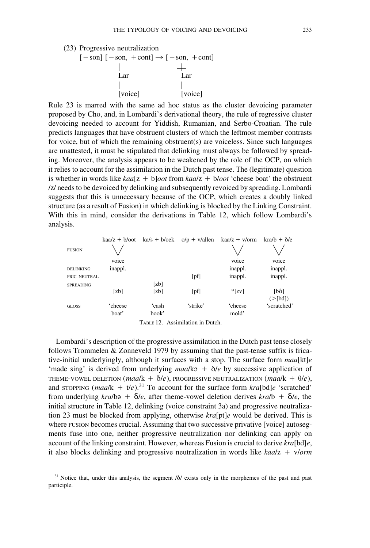

Rule 23 is marred with the same ad hoc status as the cluster devoicing parameter proposed by Cho, and, in Lombardi's derivational theory, the rule of regressive cluster devoicing needed to account for Yiddish, Rumanian, and Serbo-Croatian. The rule predicts languages that have obstruent clusters of which the leftmost member contrasts for voice, but of which the remaining obstruent(s) are voiceless. Since such languages are unattested, it must be stipulated that delinking must always be followed by spreading. Moreover, the analysis appears to be weakened by the role of the OCP, on which it relies to account for the assimilation in the Dutch past tense. The (legitimate) question is whether in words like  $kaa[z + b]oot$  from  $kaalz + b/oot$  'cheese boat' the obstruent /z/ needs to be devoiced by delinking and subsequently revoiced by spreading. Lombardi suggests that this is unnecessary because of the OCP, which creates a doubly linked structure (as a result of Fusion) in which delinking is blocked by the Linking Constraint. With this in mind, consider the derivations in Table 12, which follow Lombardi's analysis.

|                  | $kaa/z + b/oot$ |       | $k\alpha/s + b/\text{oek}$ o/p + v/allen $k\alpha/z + v/\text{orm}$ |          | $kra/b + \delta/e$                 |
|------------------|-----------------|-------|---------------------------------------------------------------------|----------|------------------------------------|
| <b>FUSION</b>    |                 |       |                                                                     |          |                                    |
|                  | voice           |       |                                                                     | voice    | voice                              |
| <b>DELINKING</b> | inappl.         |       |                                                                     | inappl.  | inappl.                            |
| FRIC. NEUTRAL.   |                 |       | [pf]                                                                | inappl.  | inappl.                            |
| <b>SPREADING</b> |                 | [zb]  |                                                                     |          |                                    |
|                  | [zb]            | [zb]  | [pf]                                                                | $*$ [zv] | $[b\delta]$<br>$(>\vert bd \vert)$ |
| <b>GLOSS</b>     | 'cheese         | 'cash | 'strike'                                                            | 'cheese  | 'scratched'                        |
|                  | boat'           | book' |                                                                     | mold'    |                                    |
|                  |                 |       | $\mathbf{T}$ and $\mathbf{A}$ and $\mathbf{A}$ and $\mathbf{A}$     |          |                                    |

TABLE 12. Assimilation in Dutch.

Lombardi's description of the progressive assimilation in the Dutch past tense closely follows Trommelen & Zonneveld 1979 by assuming that the past-tense suffix is fricative-initial underlyingly, although it surfaces with a stop. The surface form *maa*[kt]*e* 'made sing' is derived from underlying  $maal$ ka +  $\delta/e$  by successive application of THEME-VOWEL DELETION  $(maa/k + \delta/e)$ , PROGRESSIVE NEUTRALIZATION  $(maa/k + \theta/e)$ , and STOPPING (*maal*  $k + t/e$ ).<sup>31</sup> To account for the surface form *kra*[bd]*e* 'scratched' from underlying  $kra/b$  +  $\delta/e$ , after theme-vowel deletion derives  $kra/b$  +  $\delta/e$ , the initial structure in Table 12, delinking (voice constraint 3a) and progressive neutralization 23 must be blocked from applying, otherwise *kra*[pt]*e* would be derived. This is where FUSION becomes crucial. Assuming that two successive privative [voice] autosegments fuse into one, neither progressive neutralization nor delinking can apply on account of the linking constraint. However, whereas Fusion is crucial to derive *kra*[bd]*e*, it also blocks delinking and progressive neutralization in words like *kaal* z + v/*orm* 

<sup>&</sup>lt;sup>31</sup> Notice that, under this analysis, the segment  $\delta$  exists only in the morphemes of the past and past participle.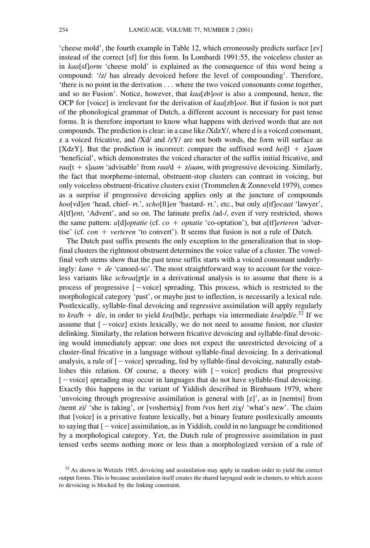'cheese mold', the fourth example in Table 12, which erroneously predicts surface [zv] instead of the correct [sf] for this form. In Lombardi 1991:55, the voiceless cluster as in *kaa*[sf]*orm* 'cheese mold' is explained as the consequence of this word being a compound: '/z/ has already devoiced before the level of compounding'. Therefore, 'there is no point in the derivation . . . where the two voiced consonants come together, and so no Fusion'. Notice, however, that *kaa*[zb]*oot* is also a compound, hence, the OCP for [voice] is irrelevant for the derivation of *kaa*[zb]*oot*. But if fusion is not part of the phonological grammar of Dutch, a different account is necessary for past tense forms. It is therefore important to know what happens with derived words that are not compounds. The prediction is clear: in a case like /XdzY/, where d is a voiced consonant, z a voiced fricative, and /Xd/ and /zY/ are not both words, the form will surface as [XdzY]. But the prediction is incorrect: compare the suffixed word *hei*[1 + z]*aam* 'beneficial', which demonstrates the voiced character of the suffix initial fricative, and *raa*[t + s]*aam* 'advisable' from *raa*/d + z/*aam*, with progressive devoicing. Similarly, the fact that morpheme-internal, obstruent-stop clusters can contrast in voicing, but only voiceless obstruent-fricative clusters exist (Trommelen & Zonneveld 1979), comes as a surprise if progressive devoicing applies only at the juncture of compounds *hoo*[vd]*en* 'head, chief- PL', *scho*[ft]*en* 'bastard- PL', etc., but only *a*[tf]*ocaat* 'lawyer', *A*[tf]*ent*, 'Advent', and so on. The latinate prefix /ad-/, even if very restricted, shows the same pattern: *a*[d]*optatie* (cf. *co* + *optatie* 'co-optation'), but *a*[tf]*erteren* 'advertise' (cf. *con* + *verteren* 'to convert'). It seems that fusion is not a rule of Dutch.

The Dutch past suffix presents the only exception to the generalization that in stopfinal clusters the rightmost obstruent determines the voice value of a cluster. The vowelfinal verb stems show that the past tense suffix starts with a voiced consonant underlyingly:  $kano + de$  'canoed-sG'. The most straightforward way to account for the voiceless variants like *schraa*[pt]*e* in a derivational analysis is to assume that there is a process of progressive  $[-\text{voice}]$  spreading. This process, which is restricted to the morphological category 'past', or maybe just to inflection, is necessarily a lexical rule. Postlexically, syllable-final devoicing and regressive assimilation will apply regularly to *kra/b* + d/*e*, in order to yield *kra*[bd]*e*, perhaps via intermediate *kra/pd/e*.<sup>32</sup> If we assume that  $[-\text{voice}]$  exists lexically, we do not need to assume fusion, nor cluster delinking. Similarly, the relation between fricative devoicing and syllable-final devoicing would immediately appear: one does not expect the unrestricted devoicing of a cluster-final fricative in a language without syllable-final devoicing. In a derivational analysis, a rule of  $[-\text{voice}]$  spreading, fed by syllable-final devoicing, naturally establishes this relation. Of course, a theory with  $[-\text{voice}]$  predicts that progressive  $[-\text{voice}]$  spreading may occur in languages that do not have syllable-final devoicing. Exactly this happens in the variant of Yiddish described in Birnbaum 1979, where 'unvoicing through progressive assimilation is general with [z]', as in [nemtsi] from /nemt zi/ 'she is taking', or [voshertsix] from /vos hert zix/ 'what's new'. The claim that [voice] is a privative feature lexically, but a binary feature postlexically amounts to saying that  $[-\text{voice}]$  assimilation, as in Yiddish, could in no language be conditioned by a morphological category. Yet, the Dutch rule of progressive assimilation in past tensed verbs seems nothing more or less than a morphologized version of a rule of

<sup>&</sup>lt;sup>32</sup> As shown in Wetzels 1985, devoicing and assimilation may apply in random order to yield the correct output forms. This is because assimilation itself creates the shared laryngeal node in clusters, to which access to devoicing is blocked by the linking constraint.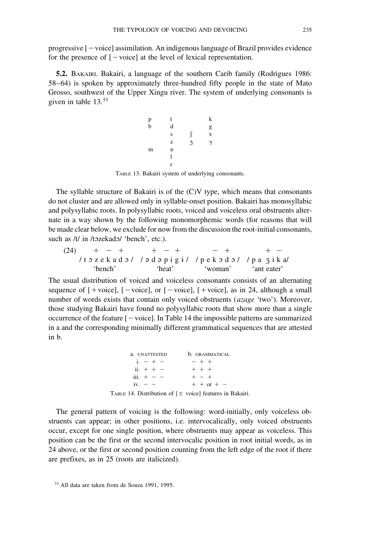progressive  $[-\text{voice}]$  assimilation. An indigenous language of Brazil provides evidence for the presence of  $[-\text{voice}]$  at the level of lexical representation.

**5.2.** BAKAIRI. Bakairi, a language of the southern Carib family (Rodrigues 1986: 58–64) is spoken by approximately three-hundred fifty people in the state of Mato Grosso, southwest of the Upper Xingu river. The system of underlying consonants is given in table 13.<sup>33</sup>



TABLE 13. Bakairi system of underlying consonants.

The syllable structure of Bakairi is of the  $(C)V$  type, which means that consonants do not cluster and are allowed only in syllable-onset position. Bakairi has monosyllabic and polysyllabic roots. In polysyllabic roots, voiced and voiceless oral obstruents alternate in a way shown by the following monomorphemic words (for reasons that will be made clear below, we exclude for now from the discussion the root-initial consonants, such as /t/ in /tozekado/ 'bench', etc.).

$$
(24) + - + + - + - + - + + -
$$
  
\n
$$
7 \text{ to } z \text{ e } k \text{ a d b} / 7 \text{ a d b p i g i} / 7 \text{ p e k b d b} / 7 \text{ p a f i k a}
$$
  
\n
$$
8 \text{ 'bench'}
$$

The usual distribution of voiced and voiceless consonants consists of an alternating sequence of  $[ + \text{voice}], [-\text{voice}],$  or  $[-\text{voice}], [ + \text{voice}],$  as in 24, although a small number of words exists that contain only voiced obstruents (*azage* 'two'). Moreover, those studying Bakairi have found no polysyllabic roots that show more than a single occurrence of the feature  $[-\text{voice}]$ . In Table 14 the impossible patterns are summarized in a and the corresponding minimally different grammatical sequences that are attested in b.

| <b>a. UNATTESTED</b>                                                 | <b>b.</b> GRAMMATICAL |
|----------------------------------------------------------------------|-----------------------|
| $i. - + -$                                                           | $- + +$               |
| ii. $+ + -$                                                          | $+ + +$               |
| iii. $+ - -$                                                         | $+ - +$               |
| $iv - -$                                                             | $+ + or + -$          |
| TABLE 14. Distribution of $[\pm \text{ voice}]$ features in Bakairi. |                       |

The general pattern of voicing is the following: word-initially, only voiceless obstruents can appear; in other positions, i.e. intervocalically, only voiced obstruents occur, except for one single position, where obstruents may appear as voiceless. This position can be the first or the second intervocalic position in root initial words, as in 24 above, or the first or second position counting from the left edge of the root if there are prefixes, as in 25 (roots are italicized).

<sup>&</sup>lt;sup>33</sup> All data are taken from de Souza 1991, 1995.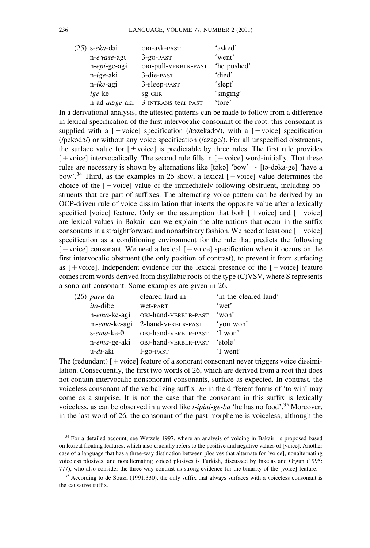| $(25)$ s-eka-dai       | OBJ-ask-PAST         | 'asked'     |
|------------------------|----------------------|-------------|
| n-e yase-agt           | $3-go-PAST$          | 'went'      |
| n-epi-ge-agi           | OBJ-pull-VERBLR-PAST | 'he pushed' |
| $n$ -ige-aki           | 3-die-past           | 'died'      |
| $n$ -ike-agi           | 3-sleep-past         | 'slept'     |
| ige-ke                 | sg-GER               | 'singing'   |
| n-ad- <i>a</i> gge-aki | 3-INTRANS-tear-PAST  | 'tore'      |
|                        |                      |             |

In a derivational analysis, the attested patterns can be made to follow from a difference in lexical specification of the first intervocalic consonant of the root: this consonant is supplied with a  $[+$  voice] specification (/tozekado/), with a  $[-$  voice] specification  $(\gamma$ ekodo $\gamma$ ) or without any voice specification  $(\gamma$ azage $\gamma$ ). For all unspecified obstruents, the surface value for  $[\pm \text{voice}]$  is predictable by three rules. The first rule provides  $[+$  voice] intervocalically. The second rule fills in  $[-$  voice] word-initially. That these rules are necessary is shown by alternations like [toko] 'bow'  $\sim$  [to-doka-ge] 'have a bow'.<sup>34</sup> Third, as the examples in 25 show, a lexical  $[ + \text{voice} ]$  value determines the choice of the  $[-\text{voice}]$  value of the immediately following obstruent, including obstruents that are part of suffixes. The alternating voice pattern can be derived by an OCP-driven rule of voice dissimilation that inserts the opposite value after a lexically specified [voice] feature. Only on the assumption that both  $[ + \text{voice} ]$  and  $[ - \text{voice} ]$ are lexical values in Bakairi can we explain the alternations that occur in the suffix consonants in a straightforward and nonarbitrary fashion. We need at least one  $[+$  voice] specification as a conditioning environment for the rule that predicts the following  $[-\text{vice}]$  consonant. We need a lexical  $[-\text{voice}]$  specification when it occurs on the first intervocalic obstruent (the only position of contrast), to prevent it from surfacing as  $[ + \text{voice}]$ . Independent evidence for the lexical presence of the  $[-\text{voice}]$  feature comes from words derived from disyllabic roots of the type (C)VSV, where S represents a sonorant consonant. Some examples are given in 26.

| $(26)$ <i>paru-</i> da | cleared land-in              | 'in the cleared land' |
|------------------------|------------------------------|-----------------------|
| $ila$ -dibe            | Wet-PART                     | 'wet'                 |
| n-ema-ke-agi           | OBJ-hand-VERBLR-PAST         | 'won'                 |
| m-ema-ke-agi           | 2-hand-verblr-past           | 'you won'             |
| s-ema-ke-Ø             | OBJ-hand-VERBLR-PAST 'I won' |                       |
| n- <i>ema</i> -ge-aki  | OBJ-hand-VERBLR-PAST         | 'stole'               |
| u- <i>di</i> -aki      | $l-go-PAST$                  | 'I went'              |

The (redundant) [ + voice] feature of a sonorant consonant never triggers voice dissimilation. Consequently, the first two words of 26, which are derived from a root that does not contain intervocalic nonsonorant consonants, surface as expected. In contrast, the voiceless consonant of the verbalizing suffix -*ke* in the different forms of 'to win' may come as a surprise. It is not the case that the consonant in this suffix is lexically voiceless, as can be observed in a word like *t-ipini-ge-ba* 'hehas no food'.<sup>35</sup> Moreover, in the last word of 26, the consonant of the past morpheme is voiceless, although the

<sup>35</sup> According to de Souza (1991:330), the only suffix that always surfaces with a voiceless consonant is the causative suffix.

<sup>&</sup>lt;sup>34</sup> For a detailed account, see Wetzels 1997, where an analysis of voicing in Bakairi is proposed based on lexical floating features, which also crucially refers to the positive and negative values of [voice]. Another case of a language that has a three-way distinction between plosives that alternate for [voice], nonalternating voiceless plosives, and nonalternating voiced plosives is Turkish, discussed by Inkelas and Orgun (1995: 777), who also consider the three-way contrast as strong evidence for the binarity of the [voice] feature.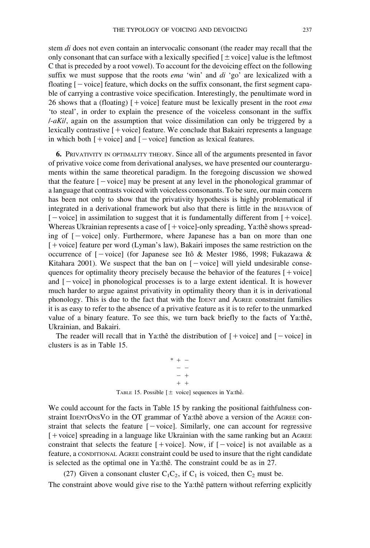stem *di* does not even contain an intervocalic consonant (the reader may recall that the only consonant that can surface with a lexically specified  $[\pm \text{voice}]$  value is the leftmost C that is preceded by a root vowel). To account for the devoicing effect on the following suffix we must suppose that the roots *ema* 'win' and *di* 'go' are lexicalized with a floating  $[-\text{voice}]$  feature, which docks on the suffix consonant, the first segment capable of carrying a contrastive voice specification. Interestingly, the penultimate word in 26 shows that a (floating) [+voice] feature must be lexically present in the root *ema* 'to steal', in order to explain the presence of the voiceless consonant in the suffix  $1-aKi/$ , again on the assumption that voice dissimilation can only be triggered by a lexically contrastive [+ voice] feature. We conclude that Bakairi represents a language in which both  $[+$  voice] and  $[-$  voice] function as lexical features.

**6.** PRIVATIVITY IN OPTIMALITY THEORY. Since all of the arguments presented in favor of privative voice come from derivational analyses, we have presented our counterarguments within the same theoretical paradigm. In the foregoing discussion we showed that the feature  $[-\text{voice}]$  may be present at any level in the phonological grammar of a language that contrasts voiced with voiceless consonants. To be sure, our main concern has been not only to show that the privativity hypothesis is highly problematical if integrated in a derivational framework but also that there is little in the BEHAVIOR of  $[-$  voice] in assimilation to suggest that it is fundamentally different from  $[+$  voice]. Whereas Ukrainian represents a case of [ + voice]-only spreading, Ya:thê shows spreading of  $[-\text{voice}]$  only. Furthermore, where Japanese has a ban on more than one [+ voice] feature per word (Lyman's law), Bakairi imposes the same restriction on the occurrence of  $[-\text{voice}]$  (for Japanese see Itô & Mester 1986, 1998; Fukazawa & Kitahara 2001). We suspect that the ban on  $[-\text{voice}]$  will yield undesirable consequences for optimality theory precisely because the behavior of the features  $[ + \text{voice} ]$ and  $[-\text{voice}]$  in phonological processes is to a large extent identical. It is however much harder to argue against privativity in optimality theory than it is in derivational phonology. This is due to the fact that with the IDENT and AGREE constraint families it is as easy to refer to the absence of a privative feature as it is to refer to the unmarked value of a binary feature. To see this, we turn back briefly to the facts of Ya:thê, Ukrainian, and Bakairi.

The reader will recall that in Ya:thê the distribution of  $[+$ voice] and  $[-$ voice] in clusters is as in Table 15.

> $* + - +$  $+$   $+$

TABLE 15. Possible  $[\pm \text{ voice}]$  sequences in Ya:thê.

We could account for the facts in Table 15 by ranking the positional faithfulness constraint IDENTONSVO in the OT grammar of Ya:thê above a version of the AGREE constraint that selects the feature  $[-\text{voice}]$ . Similarly, one can account for regressive [+voice] spreading in a language like Ukrainian with the same ranking but an AGREE constraint that selects the feature  $[ + \text{voice} ]$ . Now, if  $[ - \text{voice} ]$  is not available as a feature, a CONDITIONAL AGREE constraint could be used to insure that the right candidate is selected as the optimal one in Ya:thê. The constraint could be as in 27.

(27) Given a consonant cluster  $C_1C_2$ , if  $C_1$  is voiced, then  $C_2$  must be. The constraint above would give rise to the Ya:thê pattern without referring explicitly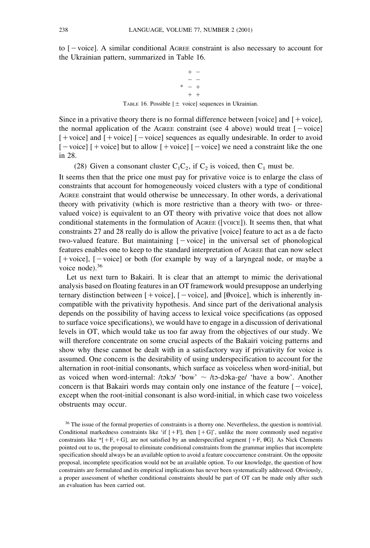to  $[-\text{voice}]$ . A similar conditional AGREE constraint is also necessary to account for the Ukrainian pattern, summarized in Table 16.

$$
+-
$$
\n
$$
--
$$
\n
$$
* - +
$$
\n
$$
++
$$
\n
$$
+ +
$$
\n
$$
- +
$$
\n
$$
+ +
$$
\n
$$
- +
$$
\n
$$
+ +
$$
\n
$$
- +
$$
\n
$$
- +
$$
\n
$$
- +
$$
\n
$$
- +
$$
\n
$$
- +
$$
\n
$$
- +
$$
\n
$$
- +
$$
\n
$$
- +
$$
\n
$$
- +
$$
\n
$$
- +
$$
\n
$$
- +
$$
\n
$$
- +
$$
\n
$$
- +
$$
\n
$$
- +
$$
\n
$$
- +
$$
\n
$$
- +
$$
\n
$$
- +
$$
\n
$$
- +
$$
\n
$$
- +
$$
\n
$$
- +
$$
\n
$$
- +
$$
\n
$$
- +
$$
\n
$$
- +
$$
\n
$$
- +
$$
\n
$$
- +
$$
\n
$$
- +
$$
\n
$$
- +
$$
\n
$$
- +
$$
\n
$$
- +
$$
\n
$$
- +
$$
\n
$$
- +
$$
\n
$$
- +
$$
\n
$$
- +
$$
\n
$$
- +
$$
\n
$$
- +
$$
\n
$$
- +
$$
\n
$$
- +
$$
\n
$$
- +
$$
\n
$$
- +
$$
\n
$$
- +
$$
\n
$$
- +
$$
\n
$$
- +
$$
\n
$$
- +
$$
\n
$$
- +
$$
\n
$$
- +
$$
\n
$$
- +
$$
\n
$$
- +
$$
\n
$$
- +
$$
\n
$$
- +
$$
\n
$$
- +
$$
\n
$$
- +
$$
\n
$$
- +
$$
\n
$$
- +
$$
\n
$$
- +
$$
\n
$$
- +
$$
\

Since in a privative theory there is no formal difference between [voice] and  $[+$  voice], the normal application of the AGREE constraint (see 4 above) would treat  $[-\text{voice}]$ [+voice] and [+voice] [-voice] sequences as equally undesirable. In order to avoid  $[-\text{voice}]$   $[+\text{voice}]$  but to allow  $[+\text{voice}]$   $[-\text{voice}]$  we need a constraint like the one in 28.

(28) Given a consonant cluster  $C_1C_2$ , if  $C_2$  is voiced, then  $C_1$  must be. It seems then that the price one must pay for privative voice is to enlarge the class of constraints that account for homogeneously voiced clusters with a type of conditional AGREE constraint that would otherwise be unnecessary. In other words, a derivational theory with privativity (which is more restrictive than a theory with two- or threevalued voice) is equivalent to an OT theory with privative voice that does not allow conditional statements in the formulation of AGREE ([VOICE]). It seems then, that what constraints 27 and 28 really do is allow the privative [voice] feature to act as a de facto two-valued feature. But maintaining  $[-\text{voice}]$  in the universal set of phonological features enables one to keep to the standard interpretation of AGREE that can now select  $[+$  voice],  $[-$  voice] or both (for example by way of a laryngeal node, or maybe a voice node). $36$ 

Let us next turn to Bakairi. It is clear that an attempt to mimic the derivational analysis based on floating features in an OT framework would presuppose an underlying ternary distinction between  $[+$  voice],  $[-$  voice], and  $[\emptyset$ voice], which is inherently incompatible with the privativity hypothesis. And since part of the derivational analysis depends on the possibility of having access to lexical voice specifications (as opposed to surface voice specifications), we would have to engage in a discussion of derivational levels in OT, which would take us too far away from the objectives of our study. We will therefore concentrate on some crucial aspects of the Bakairi voicing patterns and show why these cannot be dealt with in a satisfactory way if privativity for voice is assumed. One concern is the desirability of using underspecification to account for the alternation in root-initial consonants, which surface as voiceless when word-initial, but as voiced when word-internal: /tɔkɔ/ 'bow'  $\sim$  /tɔ-dɔka-ge/ 'have a bow'. Another concern is that Bakairi words may contain only one instance of the feature  $[-\text{voice}],$ except when the root-initial consonant is also word-initial, in which case two voiceless obstruents may occur.

<sup>&</sup>lt;sup>36</sup> The issue of the formal properties of constraints is a thorny one. Nevertheless, the question is nontrivial. Conditional markedness constraints like 'if  $[+F]$ , then  $[+G]$ ', unlike the more commonly used negative constraints like  $*[F, +G]$ , are not satisfied by an underspecified segment  $[+F, \emptyset G]$ . As Nick Clements pointed out to us, the proposal to eliminate conditional constraints from the grammar implies that incomplete specification should always be an available option to avoid a feature cooccurrence constraint. On the opposite proposal, incomplete specification would not be an available option. To our knowledge, the question of how constraints are formulated and its empirical implications has never been systematically addressed. Obviously, a proper assessment of whether conditional constraints should be part of OT can be made only after such an evaluation has been carried out.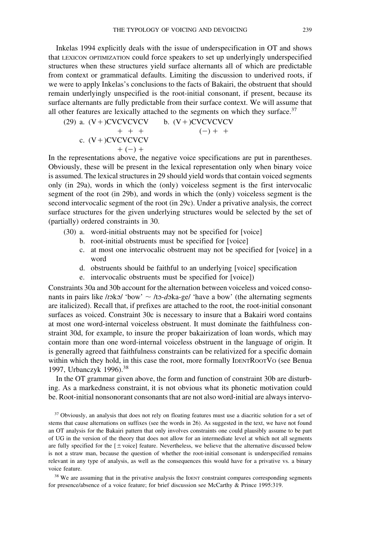Inkelas 1994 explicitly deals with the issue of underspecification in OT and shows that LEXICON OPTIMIZATION could force speakers to set up underlyingly underspecified structures when these structures yield surface alternants all of which are predictable from context or grammatical defaults. Limiting the discussion to underived roots, if we were to apply Inkelas's conclusions to the facts of Bakairi, the obstruent that should remain underlyingly unspecified is the root-initial consonant, if present, because its surface alternants are fully predictable from their surface context. We will assume that all other features are lexically attached to the segments on which they surface. $37$ 

(29) a. (V-)CVCVCVCV b. (V-)CVCVCVCV --- ()- c. (V-)CVCVCVCV -()-

In the representations above, the negative voice specifications are put in parentheses. Obviously, these will be present in the lexical representation only when binary voice is assumed. The lexical structures in 29 should yield words that contain voiced segments only (in 29a), words in which the (only) voiceless segment is the first intervocalic segment of the root (in 29b), and words in which the (only) voiceless segment is the second intervocalic segment of the root (in 29c). Under a privative analysis, the correct surface structures for the given underlying structures would be selected by the set of (partially) ordered constraints in 30.

- (30) a. word-initial obstruents may not be specified for [voice]
	- b. root-initial obstruents must be specified for [voice]
	- c. at most one intervocalic obstruent may not be specified for [voice] in a word
	- d. obstruents should be faithful to an underlying [voice] specification
	- e. intervocalic obstruents must be specified for [voice])

Constraints 30a and 30b account for the alternation between voiceless and voiced consonants in pairs like /toko/ 'bow'  $\sim$  /to-*d*oka-ge/ 'have a bow' (the alternating segments are italicized). Recall that, if prefixes are attached to the root, the root-initial consonant surfaces as voiced. Constraint 30c is necessary to insure that a Bakairi word contains at most one word-internal voiceless obstruent. It must dominate the faithfulness constraint 30d, for example, to insure the proper bakairization of loan words, which may contain more than one word-internal voiceless obstruent in the language of origin. It is generally agreed that faithfulness constraints can be relativized for a specific domain within which they hold, in this case the root, more formally IDENTROOTVO (see Benua 1997, Urbanczyk 1996).<sup>38</sup>

In the OT grammar given above, the form and function of constraint 30b are disturbing. As a markedness constraint, it is not obvious what its phonetic motivation could be. Root-initial nonsonorant consonants that are not also word-initial are always intervo-

<sup>37</sup> Obviously, an analysis that does not rely on floating features must use a diacritic solution for a set of stems that cause alternations on suffixes (see the words in 26). As suggested in the text, we have not found an OT analysis for the Bakairi pattern that only involves constraints one could plausibly assume to be part of UG in the version of the theory that does not allow for an intermediate level at which not all segments are fully specified for the  $[\pm \text{voice}]$  feature. Nevertheless, we believe that the alternative discussed below is not a straw man, because the question of whether the root-initial consonant is underspecified remains relevant in any type of analysis, as well as the consequences this would have for a privative vs. a binary voice feature.

<sup>38</sup> We are assuming that in the privative analysis the IDENT constraint compares corresponding segments for presence/absence of a voice feature; for brief discussion see McCarthy & Prince 1995:319.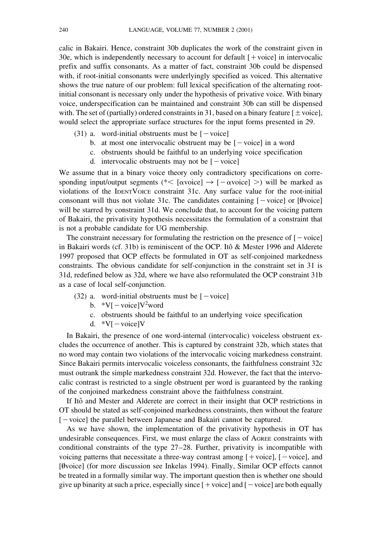calic in Bakairi. Hence, constraint 30b duplicates the work of the constraint given in 30e, which is independently necessary to account for default [+voice] in intervocalic prefix and suffix consonants. As a matter of fact, constraint 30b could be dispensed with, if root-initial consonants were underlyingly specified as voiced. This alternative shows the true nature of our problem: full lexical specification of the alternating rootinitial consonant is necessary only under the hypothesis of privative voice. With binary voice, underspecification can be maintained and constraint 30b can still be dispensed with. The set of (partially) ordered constraints in 31, based on a binary feature [ $\pm$  voice], would select the appropriate surface structures for the input forms presented in 29.

- (31) a. word-initial obstruents must be  $[-\text{voice}]$ 
	- b. at most one intervocalic obstruent may be  $[-\text{voice}]$  in a word
	- c. obstruents should be faithful to an underlying voice specification
	- d. intervocalic obstruents may not be  $[-\text{voice}]$

We assume that in a binary voice theory only contradictory specifications on corresponding input/output segments ( $\leq$  [ $\alpha$ voice]  $\rightarrow$  [ $-\alpha$ voice]  $\geq$ ) will be marked as violations of the IDENTVOICE constraint 31c. Any surface value for the root-initial consonant will thus not violate 31c. The candidates containing  $[-\text{voice}]$  or  $[\text{0} \text{voice}]$ will be starred by constraint 31d. We conclude that, to account for the voicing pattern of Bakairi, the privativity hypothesis necessitates the formulation of a constraint that is not a probable candidate for UG membership.

The constraint necessary for formulating the restriction on the presence of  $[-\text{voice}]$ in Bakairi words (cf. 31b) is reminiscent of the OCP. Itô & Mester 1996 and Alderete 1997 proposed that OCP effects be formulated in OT as self-conjoined markedness constraints. The obvious candidate for self-conjunction in the constraint set in 31 is 31d, redefined below as 32d, where we have also reformulated the OCP constraint 31b as a case of local self-conjunction.

- (32) a. word-initial obstruents must be  $[-\text{voice}]$ 
	- b.  $*V$ [ voice] $V^2$ word
	- c. obstruents should be faithful to an underlying voice specification
	- d.  $*V$ [ voice] $V$

In Bakairi, the presence of one word-internal (intervocalic) voiceless obstruent excludes the occurrence of another. This is captured by constraint 32b, which states that no word may contain two violations of the intervocalic voicing markedness constraint. Since Bakairi permits intervocalic voiceless consonants, the faithfulness constraint 32c must outrank the simple markedness constraint 32d. However, the fact that the intervocalic contrast is restricted to a single obstruent per word is guaranteed by the ranking of the conjoined markedness constraint above the faithfulness constraint.

If Itô and Mester and Alderete are correct in their insight that OCP restrictions in OT should be stated as self-conjoined markedness constraints, then without the feature  $[-\text{voice}]$  the parallel between Japanese and Bakairi cannot be captured.

As we have shown, the implementation of the privativity hypothesis in OT has undesirable consequences. First, we must enlarge the class of AGREE constraints with conditional constraints of the type  $27-28$ . Further, privativity is incompatible with voicing patterns that necessitate a three-way contrast among  $[ + \text{voice}], [-\text{voice}],$  and [Øvoice] (for more discussion see Inkelas 1994). Finally, Similar OCP effects cannot be treated in a formally similar way. The important question then is whether one should give up binarity at such a price, especially since  $[+$  voice] and  $[-$  voice] are both equally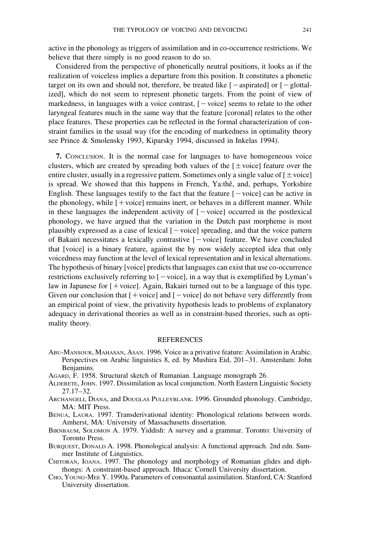active in the phonology as triggers of assimilation and in co-occurrence restrictions. We believe that there simply is no good reason to do so.

Considered from the perspective of phonetically neutral positions, it looks as if the realization of voiceless implies a departure from this position. It constitutes a phonetic target on its own and should not, therefore, be treated like  $[-$ aspirated] or  $[-$ glottalized], which do not seem to represent phonetic targets. From the point of view of markedness, in languages with a voice contrast,  $[-\text{voice}]$  seems to relate to the other laryngeal features much in the same way that the feature [coronal] relates to the other place features. These properties can be reflected in the formal characterization of constraint families in the usual way (for the encoding of markedness in optimality theory see Prince & Smolensky 1993, Kiparsky 1994, discussed in Inkelas 1994).

**7.** CONCLUSION. It is the normal case for languages to have homogeneous voice clusters, which are created by spreading both values of the  $[\pm \text{voice}]$  feature over the entire cluster, usually in a regressive pattern. Sometimes only a single value of  $[\pm \text{voice}]$ is spread. We showed that this happens in French, Ya:thê, and, perhaps, Yorkshire English. These languages testify to the fact that the feature  $[-\text{voice}]$  can be active in the phonology, while [+voice] remains inert, or behaves in a different manner. While in these languages the independent activity of  $[-\text{voice}]$  occurred in the postlexical phonology, we have argued that the variation in the Dutch past morpheme is most plausibly expressed as a case of lexical  $[-\text{voice}]$  spreading, and that the voice pattern of Bakairi necessitates a lexically contrastive  $[-\text{voice}]$  feature. We have concluded that [voice] is a binary feature, against the by now widely accepted idea that only voicedness may function at the level of lexical representation and in lexical alternations. The hypothesis of binary [voice] predicts that languages can exist that use co-occurrence restrictions exclusively referring to  $[-\text{voice}]$ , in a way that is exemplified by Lyman's law in Japanese for [+voice]. Again, Bakairi turned out to be a language of this type. Given our conclusion that  $[+$  voice] and  $[-$  voice] do not behave very differently from an empirical point of view, the privativity hypothesis leads to problems of explanatory adequacy in derivational theories as well as in constraint-based theories, such as optimality theory.

### REFERENCES

- ABU-MANSOUR, MAHASAN, ASAN. 1996. Voice as a privative feature: Assimilation in Arabic. Perspectives on Arabic linguistics 8, ed. by Mushira Eid, 201–31. Amsterdam: John Benjamins.
- AGARD, F. 1958. Structural sketch of Rumanian. Language monograph 26.
- ALDERETE, JOHN. 1997. Dissimilation as local conjunction. North Eastern Linguistic Society 27.17–32.
- ARCHANGELI, DIANA, and DOUGLAS PULLEYBLANK. 1996. Grounded phonology. Cambridge, MA: MIT Press.
- BENUA, LAURA. 1997. Transderivational identity: Phonological relations between words. Amherst, MA: University of Massachusetts dissertation.
- BIRNBAUM, SOLOMON A. 1979. Yiddish: A survey and a grammar. Toronto: University of Toronto Press.
- BURQUEST, DONALD A. 1998. Phonological analysis: A functional approach. 2nd edn. Summer Institute of Linguistics.
- CHITORAN, IOANA. 1997. The phonology and morphology of Romanian glides and diphthongs: A constraint-based approach. Ithaca: Cornell University dissertation.
- CHO, YOUNG-MEE Y. 1990a. Parameters of consonantal assimilation. Stanford, CA: Stanford University dissertation.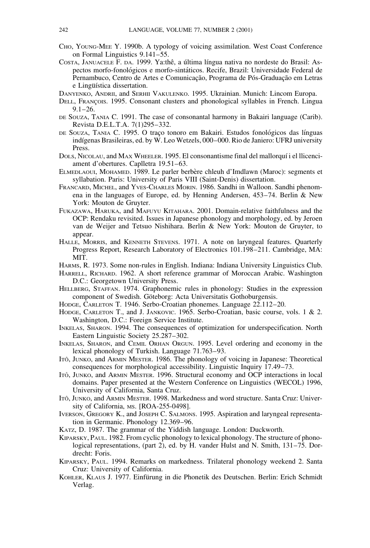- CHO, YOUNG-MEE Y. 1990b. A typology of voicing assimilation. West Coast Conference on Formal Linguistics 9.141–55.
- COSTA, JANUACELE F. DA. 1999. Ya:thê, a última língua nativa no nordeste do Brasil: Aspectos morfo-fonológicos e morfo-sintáticos. Recife, Brazil: Universidade Federal de Pernambuco, Centro de Artes e Comunicação, Programa de Pós-Graduação em Letras e Lingüística dissertation.
- DANYENKO, ANDRII, and SERHII VAKULENKO. 1995. Ukrainian. Munich: Lincom Europa.
- DELL, FRANÇOIS. 1995. Consonant clusters and phonological syllables in French. Lingua 9.1–26.
- DE SOUZA, TANIA C. 1991. The case of consonantal harmony in Bakairi language (Carib). Revista D.E.L.T.A. 7(1)295–332.
- DE SOUZA, TANIA C. 1995. O traço tonoro em Bakairi. Estudos fonológicos das línguas indígenas Brasileiras, ed. by W. Leo Wetzels, 000-000. Rio de Janiero: UFRJ university Press.
- DOLS, NICOLAU, and MAX WHEELER. 1995. El consonantisme final del mallorquí i el llicenciament d'obertures. Caplletra 19.51–63.
- ELMEDLAOUI, MOHAMED. 1989. Le parler berbère chleuh d'Imdlawn (Maroc): segments et syllabation. Paris: University of Paris VIII (Saint-Denis) dissertation.
- FRANCARD, MICHEL, and YVES-CHARLES MORIN. 1986. Sandhi in Walloon. Sandhi phenomena in the languages of Europe, ed. by Henning Andersen, 453–74. Berlin & New York: Mouton de Gruyter.
- FUKAZAWA, HARUKA, and MAFUYU KITAHARA. 2001. Domain-relative faithfulness and the OCP: Rendaku revisited. Issues in Japanese phonology and morphology, ed. by Jeroen van de Weijer and Tetsuo Nishihara. Berlin & New York: Mouton de Gruyter, to appear.
- HALLE, MORRIS, and KENNETH STEVENS. 1971. A note on laryngeal features. Quarterly Progress Report, Research Laboratory of Electronics 101.198–211. Cambridge, MA: MIT.
- HARMS, R. 1973. Some non-rules in English. Indiana: Indiana University Linguistics Club.
- HARRELL, RICHARD. 1962. A short reference grammar of Moroccan Arabic. Washington D.C.: Georgetown University Press.
- HELLBERG, STAFFAN. 1974. Graphonemic rules in phonology: Studies in the expression component of Swedish. Göteborg: Acta Universitatis Gothoburgensis.
- HODGE, CARLETON T. 1946. Serbo-Croatian phonemes. Language 22.112–20.
- HODGE, CARLETON T., and J. JANKOVIC. 1965. Serbo-Croatian, basic course, vols. 1 & 2. Washington, D.C.: Foreign Service Institute.
- INKELAS, SHARON. 1994. The consequences of optimization for underspecification. North Eastern Linguistic Society 25.287–302.
- INKELAS, SHARON, and CEMIL ORHAN ORGUN. 1995. Level ordering and economy in the lexical phonology of Turkish. Language 71.763–93.
- ITÔ, JUNKO, and ARMIN MESTER. 1986. The phonology of voicing in Japanese: Theoretical consequences for morphological accessibility. Linguistic Inquiry 17.49–73.
- ITÔ, JUNKO, and ARMIN MESTER. 1996. Structural economy and OCP interactions in local domains. Paper presented at the Western Conference on Linguistics (WECOL) 1996, University of California, Santa Cruz.
- ITÔ, JUNKO, and ARMIN MESTER. 1998. Markedness and word structure. Santa Cruz: University of California, MS. [ROA-255-0498].
- IVERSON, GREGORY K., and JOSEPH C. SALMONS. 1995. Aspiration and laryngeal representation in Germanic. Phonology 12.369–96.
- KATZ, D. 1987. The grammar of the Yiddish language. London: Duckworth.
- KIPARSKY, PAUL. 1982. From cyclic phonology to lexical phonology. The structure of phonological representations, (part 2), ed. by H. vander Hulst and N. Smith, 131–75. Dordrecht: Foris.
- KIPARSKY, PAUL. 1994. Remarks on markedness. Trilateral phonology weekend 2. Santa Cruz: University of California.
- KOHLER, KLAUS J. 1977. Einfürung in die Phonetik des Deutschen. Berlin: Erich Schmidt Verlag.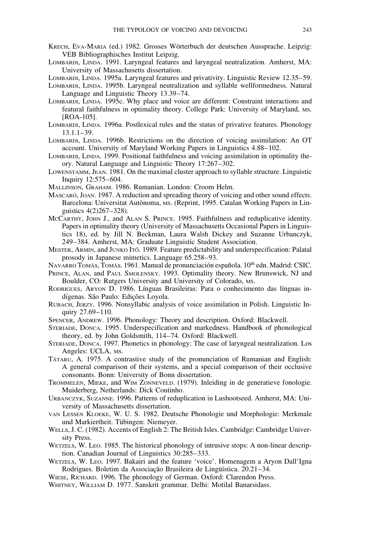- KRECH, EVA-MARIA (ed.) 1982. Grosses Wörterbuch der deutschen Aussprache. Leipzig: VEB Bibliographisches Institut Leipzig.
- LOMBARDI, LINDA. 1991. Laryngeal features and laryngeal neutralization. Amherst, MA: University of Massachusetts dissertation.
- LOMBARDI, LINDA. 1995a. Laryngeal features and privativity. Linguistic Review 12.35–59.
- LOMBARDI, LINDA. 1995b. Laryngeal neutralization and syllable wellformedness. Natural Language and Linguistic Theory 13.39–74.
- LOMBARDI, LINDA. 1995c. Why place and voice are different: Constraint interactions and featural faithfulness in optimality theory. College Park: University of Maryland, MS. [ROA-105].
- LOMBARDI, LINDA. 1996a. Postlexical rules and the status of privative features. Phonology 13.1.1–39.
- LOMBARDI, LINDA. 1996b. Restrictions on the direction of voicing assimilation: An OT account. University of Maryland Working Papers in Linguistics 4.88–102.
- LOMBARDI, LINDA. 1999. Positional faithfulness and voicing assimilation in optimality theory. Natural Language and Linguistic Theory 17:267–302.
- LOWENSTAMM, JEAN. 1981. On the maximal cluster approach to syllable structure. Linguistic Inquiry 12:575–604.
- MALLINSON, GRAHAM. 1986. Rumanian. London: Croom Helm.
- MASCARÓ, JOAN. 1987. A reduction and spreading theory of voicing and other sound effects. Barcelona: Universitat Autònoma, Ms. (Reprint, 1995. Catalan Working Papers in Linguistics 4(2)267–328).
- MCCARTHY, JOHN J., and ALAN S. PRINCE. 1995. Faithfulness and reduplicative identity. Papers in optimality theory (University of Massachusetts Occasional Papers in Linguistics 18), ed. by Jill N. Beckman, Laura Walsh Dickey and Suzanne Urbanczyk, 249–384. Amherst, MA: Graduate Linguistic Student Association.
- MESTER, ARMIN, and JUNKO ITÔ. 1989. Feature predictability and underspecification: Palatal prosody in Japanese mimetics. Language 65.258–93.
- NAVARRO TOMÁS, TOMÁS. 1961. Manual de pronunciación española. 10<sup>th</sup> edn. Madrid: CSIC.
- PRINCE, ALAN, and PAUL SMOLENSKY. 1993. Optimality theory. New Brunswick, NJ and Boulder, CO: Rutgers University and University of Colorado, MS.
- RODRIGUES, ARYON D. 1986. Línguas Brasileiras: Para o conhecimento das línguas indígenas. São Paulo: Edições Loyola.
- RUBACH, JERZY. 1996. Nonsyllabic analysis of voice assimilation in Polish. Linguistic Inquiry 27.69–110.
- SPENCER, ANDREW. 1996. Phonology: Theory and description. Oxford: Blackwell.
- STERIADE, DONCA. 1995. Underspecification and markedness. Handbook of phonological theory, ed. by John Goldsmith, 114–74. Oxford: Blackwell.
- STERIADE, DONCA. 1997. Phonetics in phonology: The case of laryngeal neutralization. Los Angeles: UCLA, MS.
- TĂTARU, A. 1975. A contrastive study of the pronunciation of Rumanian and English: A general comparison of their systems, and a special comparison of their occlusive consonants. Bonn: University of Bonn dissertation.
- TROMMELEN, MIEKE, and WIM ZONNEVELD. (1979). Inleiding in de generatieve fonologie. Muiderberg, Netherlands: Dick Coutinho.
- URBANCZYK, SUZANNE. 1996. Patterns of reduplication in Lushootseed. Amherst, MA: University of Massachusetts dissertation.
- VAN LESSEN KLOEKE, W. U. S. 1982. Deutsche Phonologie und Morphologie: Merkmale und Markiertheit. Tübingen: Niemeyer.
- WELLS, J. C. (1982). Accents of English 2: The British Isles. Cambridge: Cambridge University Press.
- WETZELS, W. LEO. 1985. The historical phonology of intrusive stops: A non-linear description. Canadian Journal of Linguistics 30:285–333.
- WETZELS, W. LEO. 1997. Bakairi and the feature 'voice'. Homenagem a Aryon Dall'Igna Rodrigues. Boletim da Associação Brasileira de Lingüística. 20.21–34.
- WIESE, RICHARD. 1996. The phonology of German. Oxford: Clarendon Press.
- WHITNEY, WILLIAM D. 1977. Sanskrit grammar. Delhi: Motilal Banarsidass.